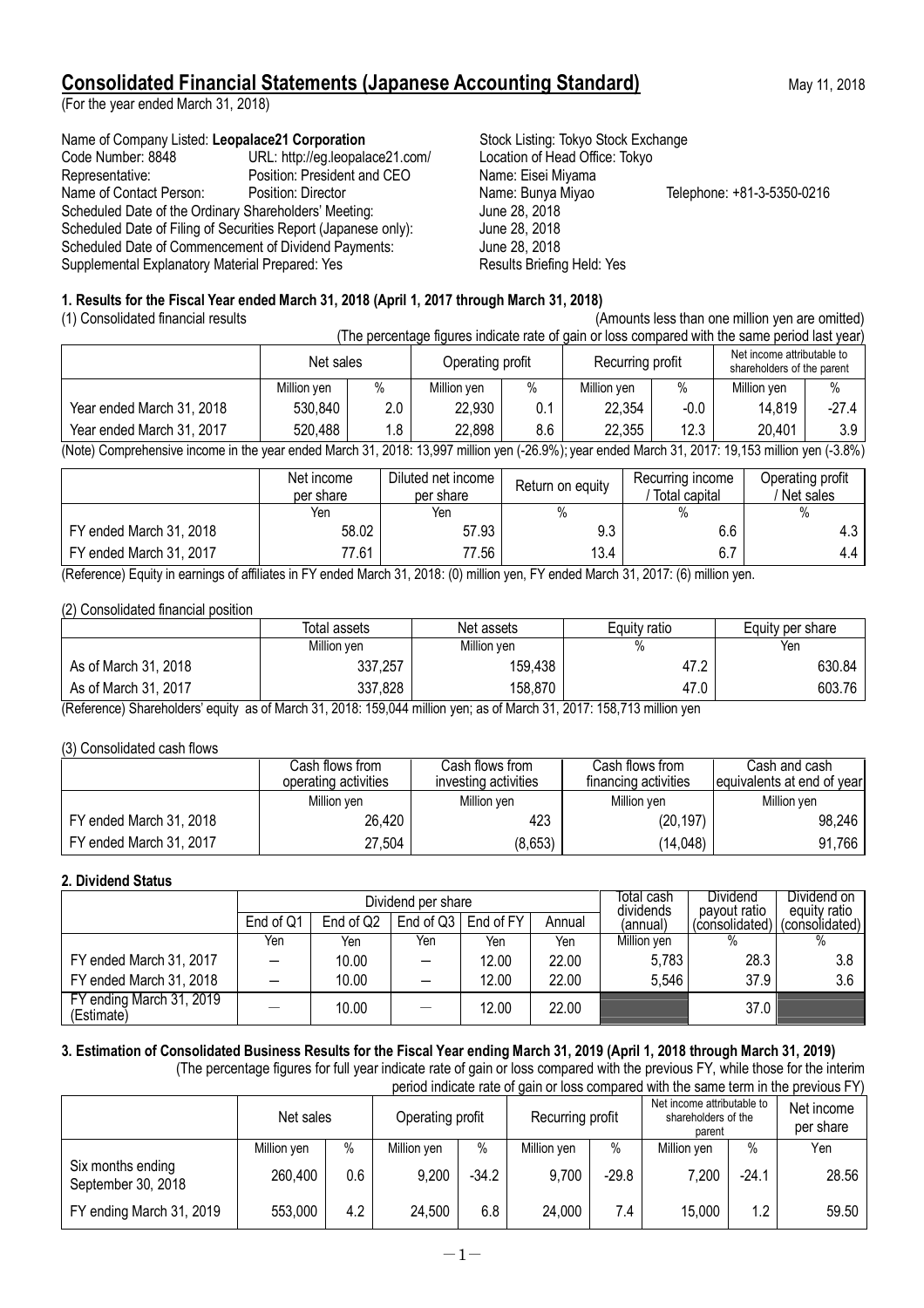# **Consolidated Financial Statements (Japanese Accounting Standard)** May 11, 2018

(For the year ended March 31, 2018)

Name of Company Listed: Leopalace21 Corporation **Stock Listing: Tokyo Stock Exchange** Code Number: 8848 URL: http://eg.leopalace21.com/ Location of Head Office: Tokyo Representative: Position: President and CEO Name: Eisei Miyama Name of Contact Person: Position: Director Name: Bunya Miyao Telephone: +81-3-5350-0216 Scheduled Date of the Ordinary Shareholders' Meeting: June 28, 2018<br>Scheduled Date of Filing of Securities Report (Japanese only): June 28, 2018 Scheduled Date of Filing of Securities Report (Japanese only): June 28, 2018<br>Scheduled Date of Commencement of Dividend Payments: June 28, 2018 Scheduled Date of Commencement of Dividend Payments: Supplemental Explanatory Material Prepared: Yes **Results Briefing Held: Yes** Results Briefing Held: Yes

## **1. Results for the Fiscal Year ended March 31, 2018 (April 1, 2017 through March 31, 2018)**

(1) Consolidated financial results (Amounts less than one million yen are omitted) (The percentage figures indicate rate of gain or loss compared with the same period last year) Net sales **Operating profit** Recurring profit Net income attributable to Recurring profit Net income attributable to Million yen % Million yen % Million yen % Million yen % Year ended March 31, 2018 | 530,840 | 2.0 | 22,930 | 0.1 | 22,354 | -0.0 | 14,819 | -27,4 Year ended March 31, 2017 | 520,488 | 1.8 | 22,898 | 8.6 | 22,355 | 12.3 | 20,401 | 3.9

(Note) Comprehensive income in the year ended March 31, 2018: 13,997 million yen (-26.9%); year ended March 31, 2017: 19,153 million yen (-3.8%)

| Net income<br>per share | Diluted net income<br>per share |      | Recurring income<br>Total capital                                                                                                                   | Operating profit<br>Net sales |
|-------------------------|---------------------------------|------|-----------------------------------------------------------------------------------------------------------------------------------------------------|-------------------------------|
| Yen                     | Yen                             |      | ℅                                                                                                                                                   |                               |
| 58.02                   | 57.93                           | 9.3  | 6.6                                                                                                                                                 | 4.3                           |
| 77.61                   | 77.56                           | 13.4 | 6.7                                                                                                                                                 | 4.4                           |
|                         |                                 |      | Return on equity<br>(Defensed) Emily in comings of officials in EV anded Morels 24, 2010; (A) million was EV anded Morels 24, 2017; (C) million was |                               |

(Reference) Equity in earnings of affiliates in FY ended March 31, 2018: (0) million yen, FY ended March 31, 2017: (6) million yen.

### (2) Consolidated financial position

|                      | Total assets | Net assets  | Equity ratio | Equity per share |  |
|----------------------|--------------|-------------|--------------|------------------|--|
|                      | Million yen  | Million yen | $\%$         | Yen              |  |
| As of March 31, 2018 | 337,257      | 159,438     | 47.2         | 630.84           |  |
| As of March 31, 2017 | 337,828      | 158,870     | 47.0         | 603.76           |  |

(Reference) Shareholders' equity as of March 31, 2018: 159,044 million yen; as of March 31, 2017: 158,713 million yen

#### (3) Consolidated cash flows

|                         | Cash flows from .<br>operating activities | Cash flows from<br>investing activities | Cash flows from<br>financing activities | Cash and cash<br>equivalents at end of year |  |
|-------------------------|-------------------------------------------|-----------------------------------------|-----------------------------------------|---------------------------------------------|--|
|                         | Million yen                               | Million ven                             | Million yen                             | Million ven                                 |  |
| FY ended March 31, 2018 | 26,420                                    | 423                                     | (20, 197)                               | 98,246                                      |  |
| FY ended March 31, 2017 | 27,504                                    | (8,653)                                 | (14, 048)                               | 91,766                                      |  |

#### **2. Dividend Status**

|                                        |           |           | Dividend per share | Total cash<br>dividends | <b>Dividend</b><br>payout ratio | Dividend on<br>equity ratio |                |                |
|----------------------------------------|-----------|-----------|--------------------|-------------------------|---------------------------------|-----------------------------|----------------|----------------|
|                                        | End of Q1 | End of Q2 | End of $Q3$        | End of FY               | Annual                          | (annual)                    | (consolidated) | (consolidated) |
|                                        | Yen       | Yen       | Yen                | Yen                     | Yen                             | Million ven                 | %              |                |
| FY ended March 31, 2017                |           | 10.00     |                    | 12.00                   | 22.00                           | 5,783                       | 28.3           | 3.8            |
| FY ended March 31, 2018                |           | 10.00     |                    | 12.00                   | 22.00                           | 5.546                       | 37.9           | 3.6            |
| FY ending March 31, 2019<br>(Estimate) |           | 10.00     |                    | 12.00                   | 22.00                           |                             | 37.0           |                |

# **3. Estimation of Consolidated Business Results for the Fiscal Year ending March 31, 2019 (April 1, 2018 through March 31, 2019)**

(The percentage figures for full year indicate rate of gain or loss compared with the previous FY, while those for the interim period indicate rate of gain or loss compared with the same term in the previous FY)

|                                         | Net sales   |     | Operating profit |         | Recurring profit |         | Net income attributable to<br>shareholders of the<br>parent |         | Net income<br>per share |
|-----------------------------------------|-------------|-----|------------------|---------|------------------|---------|-------------------------------------------------------------|---------|-------------------------|
|                                         | Million yen | %   | Million yen      | $\%$    | Million yen      | $\%$    | Million yen                                                 | $\%$    | Yen                     |
| Six months ending<br>September 30, 2018 | 260,400     | 0.6 | 9,200            | $-34.2$ | 9,700            | $-29.8$ | 7,200                                                       | $-24.1$ | 28.56                   |
| FY ending March 31, 2019                | 553,000     | 4.2 | 24,500           | 6.8     | 24,000           | 7.4     | 15,000                                                      | 1.2     | 59.50                   |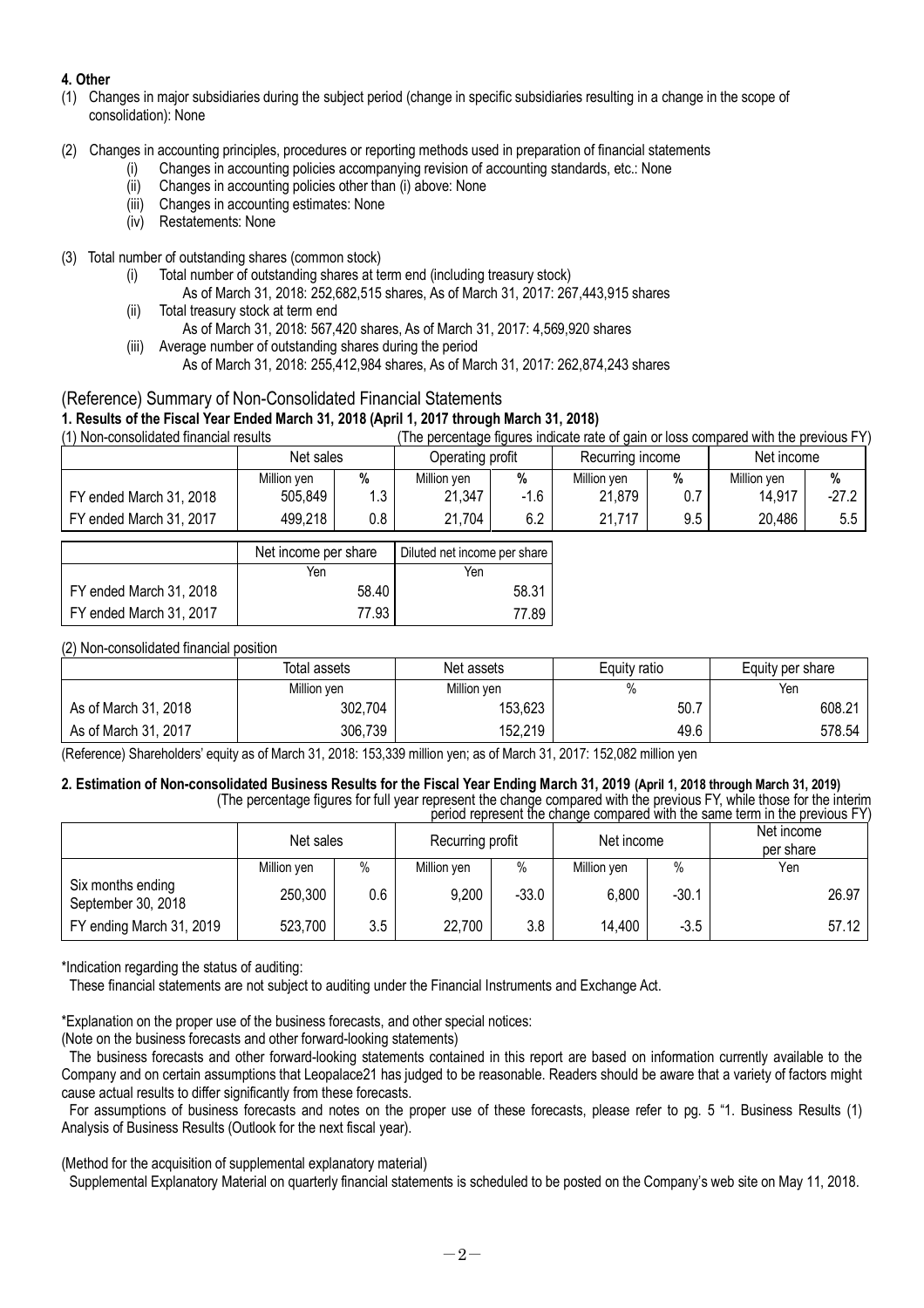## **4. Other**

- (1) Changes in major subsidiaries during the subject period (change in specific subsidiaries resulting in a change in the scope of consolidation): None
- (2) Changes in accounting principles, procedures or reporting methods used in preparation of financial statements
	- (i) Changes in accounting policies accompanying revision of accounting standards, etc.: None
	- (ii) Changes in accounting policies other than (i) above: None
	- (iii) Changes in accounting estimates: None
	- (iv) Restatements: None

### (3) Total number of outstanding shares (common stock)

- (i) Total number of outstanding shares at term end (including treasury stock)
	- As of March 31, 2018: 252,682,515 shares, As of March 31, 2017: 267,443,915 shares
- (ii) Total treasury stock at term end As of March 31, 2018: 567,420 shares, As of March 31, 2017: 4,569,920 shares
- (iii) Average number of outstanding shares during the period As of March 31, 2018: 255,412,984 shares, As of March 31, 2017: 262,874,243 shares

# (Reference) Summary of Non-Consolidated Financial Statements **1. Results of the Fiscal Year Ended March 31, 2018 (April 1, 2017 through March 31, 2018)**

(The percentage figures indicate rate of gain or loss compared with the previous FY)

|                         | Net sales   |     | Operating profit |        | Recurring income |     | Net income  |         |
|-------------------------|-------------|-----|------------------|--------|------------------|-----|-------------|---------|
|                         | Million yen | %   | Million yen<br>% |        | Million yen      | %   | Million yen | %       |
| FY ended March 31, 2018 | 505,849     | 12  | 21,347           | $-1.6$ | 21,879           | 0.7 | 14,917      | $-27.2$ |
| FY ended March 31, 2017 | 499,218     | 0.8 | 21,704           | 6.2    | 21,717           | 9.5 | 20,486      | 5.5     |

|                         | Net income per share | Diluted net income per share |
|-------------------------|----------------------|------------------------------|
|                         | Yen                  | Yen                          |
| FY ended March 31, 2018 | 58.40                | 58.31                        |
| FY ended March 31, 2017 | 77.93                | 77.89                        |

### (2) Non-consolidated financial position

|                      | Total assets | Net assets  | Equity ratio | Equity per share |  |
|----------------------|--------------|-------------|--------------|------------------|--|
|                      | Million yen  | Million yen |              | Yen              |  |
| As of March 31, 2018 | 302,704      | 153,623     | 50.7         | 608.21           |  |
| As of March 31, 2017 | 306,739      | 152,219     | 49.6         | 578.54           |  |

(Reference) Shareholders' equity as of March 31, 2018: 153,339 million yen; as of March 31, 2017: 152,082 million yen

#### **2. Estimation of Non-consolidated Business Results for the Fiscal Year Ending March 31, 2019 (April 1, 2018 through March 31, 2019)** (The percentage figures for full year represent the change compared with the previous FY, while those for the interim

| period represent the change compared with the same term in the previous FY) |             |      |             |                  |             |         |                         |  |  |  |  |
|-----------------------------------------------------------------------------|-------------|------|-------------|------------------|-------------|---------|-------------------------|--|--|--|--|
| Net sales                                                                   |             |      |             | Recurring profit | Net income  |         | Net income<br>per share |  |  |  |  |
|                                                                             | Million yen | $\%$ | Million yen | $\%$             | Million yen | $\%$    | Yen                     |  |  |  |  |
| Six months ending<br>September 30, 2018                                     | 250,300     | 0.6  | 9,200       | $-33.0$          | 6,800       | $-30.1$ | 26.97                   |  |  |  |  |
| FY ending March 31, 2019                                                    | 523,700     | 3.5  | 22,700      | 3.8              | 14,400      | $-3.5$  | 57.12                   |  |  |  |  |

\*Indication regarding the status of auditing:

These financial statements are not subject to auditing under the Financial Instruments and Exchange Act.

\*Explanation on the proper use of the business forecasts, and other special notices:

(Note on the business forecasts and other forward-looking statements)

The business forecasts and other forward-looking statements contained in this report are based on information currently available to the Company and on certain assumptions that Leopalace21 has judged to be reasonable. Readers should be aware that a variety of factors might cause actual results to differ significantly from these forecasts.

For assumptions of business forecasts and notes on the proper use of these forecasts, please refer to pg. 5 "1. Business Results (1) Analysis of Business Results (Outlook for the next fiscal year).

(Method for the acquisition of supplemental explanatory material)

Supplemental Explanatory Material on quarterly financial statements is scheduled to be posted on the Company's web site on May 11, 2018.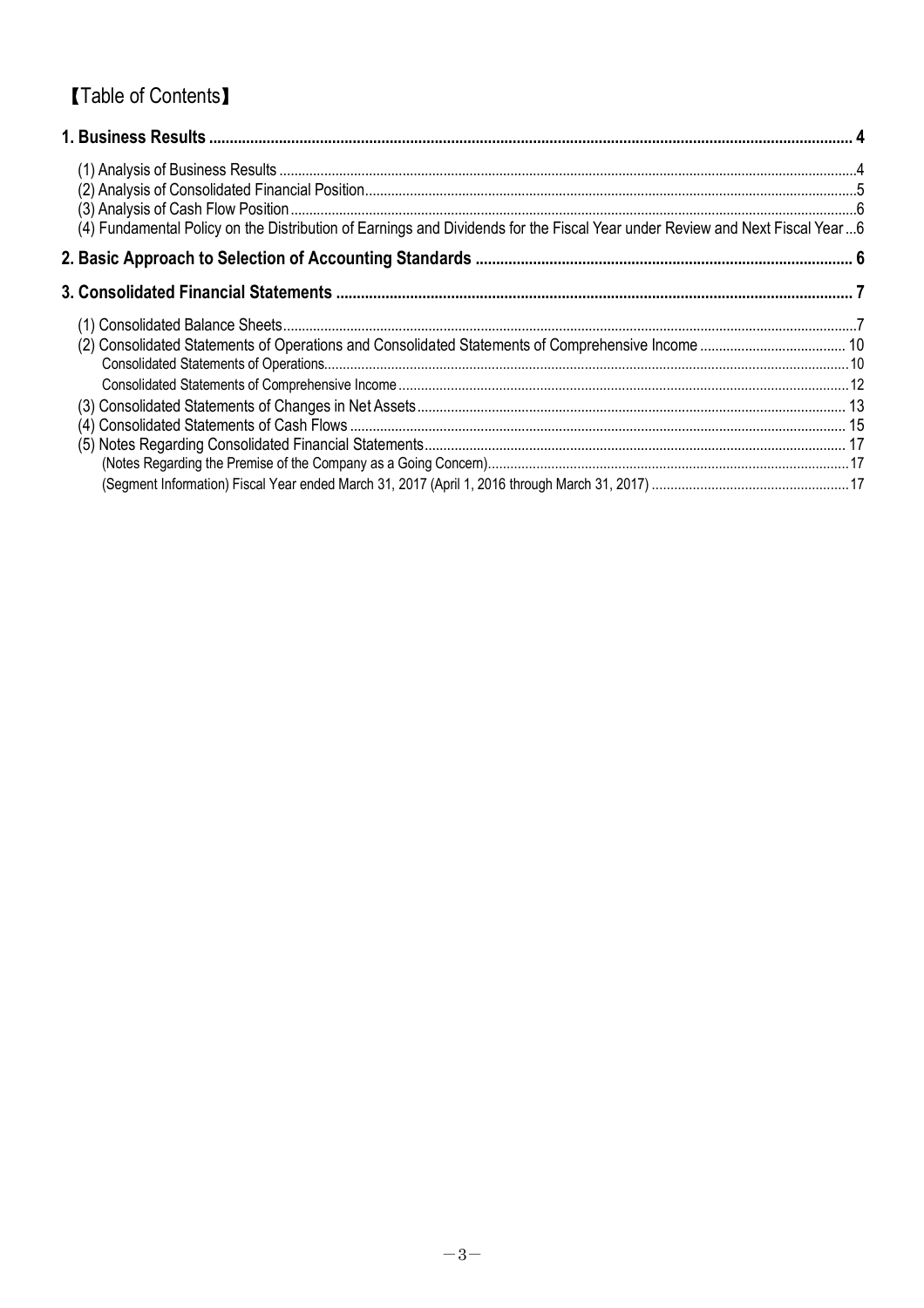# **[Table of Contents]**

| (4) Fundamental Policy on the Distribution of Earnings and Dividends for the Fiscal Year under Review and Next Fiscal Year6 |  |
|-----------------------------------------------------------------------------------------------------------------------------|--|
|                                                                                                                             |  |
|                                                                                                                             |  |
|                                                                                                                             |  |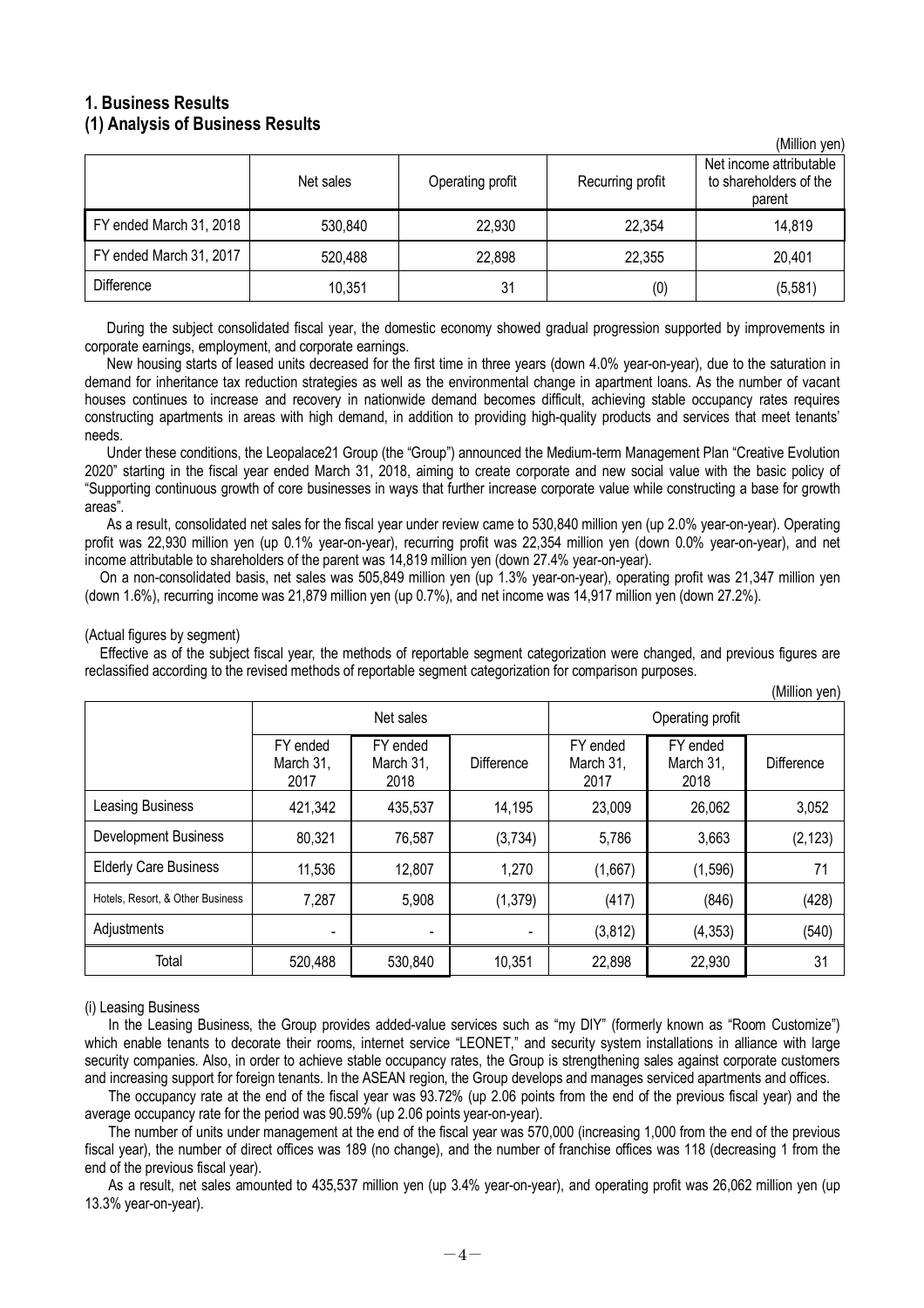# **1. Business Results (1) Analysis of Business Results**

|                         | Net sales | Operating profit | Recurring profit | , וייטן ויטוווויזו<br>Net income attributable<br>to shareholders of the<br>parent |
|-------------------------|-----------|------------------|------------------|-----------------------------------------------------------------------------------|
| FY ended March 31, 2018 | 530,840   | 22,930           | 22,354           | 14,819                                                                            |
| FY ended March 31, 2017 | 520,488   | 22,898           | 22,355           | 20,401                                                                            |
| <b>Difference</b>       | 10,351    | 31               | (0)              | (5, 581)                                                                          |

 $(Million von)$ 

During the subject consolidated fiscal year, the domestic economy showed gradual progression supported by improvements in corporate earnings, employment, and corporate earnings.

New housing starts of leased units decreased for the first time in three years (down 4.0% year-on-year), due to the saturation in demand for inheritance tax reduction strategies as well as the environmental change in apartment loans. As the number of vacant houses continues to increase and recovery in nationwide demand becomes difficult, achieving stable occupancy rates requires constructing apartments in areas with high demand, in addition to providing high-quality products and services that meet tenants' needs.

Under these conditions, the Leopalace21 Group (the "Group") announced the Medium-term Management Plan "Creative Evolution 2020" starting in the fiscal year ended March 31, 2018, aiming to create corporate and new social value with the basic policy of "Supporting continuous growth of core businesses in ways that further increase corporate value while constructing a base for growth  $area<sup>n</sup>$ 

As a result, consolidated net sales for the fiscal year under review came to 530,840 million yen (up 2.0% year-on-year). Operating profit was 22,930 million yen (up 0.1% year-on-year), recurring profit was 22,354 million yen (down 0.0% year-on-year), and net income attributable to shareholders of the parent was 14,819 million yen (down 27.4% year-on-year).

On a non-consolidated basis, net sales was 505,849 million yen (up 1.3% year-on-year), operating profit was 21,347 million yen (down 1.6%), recurring income was 21,879 million yen (up 0.7%), and net income was 14,917 million yen (down 27.2%).

#### (Actual figures by segment)

Effective as of the subject fiscal year, the methods of reportable segment categorization were changed, and previous figures are reclassified according to the revised methods of reportable segment categorization for comparison purposes.

|                                  |                               |                               |                   |                               |                               | (Million yen) |  |
|----------------------------------|-------------------------------|-------------------------------|-------------------|-------------------------------|-------------------------------|---------------|--|
|                                  |                               | Net sales                     |                   | Operating profit              |                               |               |  |
|                                  | FY ended<br>March 31,<br>2017 | FY ended<br>March 31,<br>2018 | <b>Difference</b> | FY ended<br>March 31,<br>2017 | FY ended<br>March 31,<br>2018 | Difference    |  |
| <b>Leasing Business</b>          | 421,342                       | 435,537                       | 14,195            | 23,009                        | 26,062                        | 3,052         |  |
| <b>Development Business</b>      | 80,321                        | 76,587                        | (3, 734)          | 5,786                         | 3,663                         | (2, 123)      |  |
| <b>Elderly Care Business</b>     | 11,536                        | 12,807                        | 1,270             | (1,667)                       | (1, 596)                      | 71            |  |
| Hotels, Resort, & Other Business | 7,287                         | 5,908                         | (1, 379)          | (417)                         | (846)                         | (428)         |  |
| Adjustments                      | $\overline{\phantom{a}}$      | $\blacksquare$                |                   | (3, 812)                      | (4, 353)                      | (540)         |  |
| Total                            | 520,488                       | 530,840                       | 10,351            | 22,898                        | 22,930                        | 31            |  |

(i) Leasing Business

In the Leasing Business, the Group provides added-value services such as "my DIY" (formerly known as "Room Customize") which enable tenants to decorate their rooms, internet service "LEONET," and security system installations in alliance with large security companies. Also, in order to achieve stable occupancy rates, the Group is strengthening sales against corporate customers and increasing support for foreign tenants. In the ASEAN region, the Group develops and manages serviced apartments and offices.

The occupancy rate at the end of the fiscal year was 93.72% (up 2.06 points from the end of the previous fiscal year) and the average occupancy rate for the period was 90.59% (up 2.06 points year-on-year).

The number of units under management at the end of the fiscal year was 570,000 (increasing 1,000 from the end of the previous fiscal year), the number of direct offices was 189 (no change), and the number of franchise offices was 118 (decreasing 1 from the end of the previous fiscal year).

As a result, net sales amounted to 435,537 million yen (up 3.4% year-on-year), and operating profit was 26,062 million yen (up 13.3% year-on-year).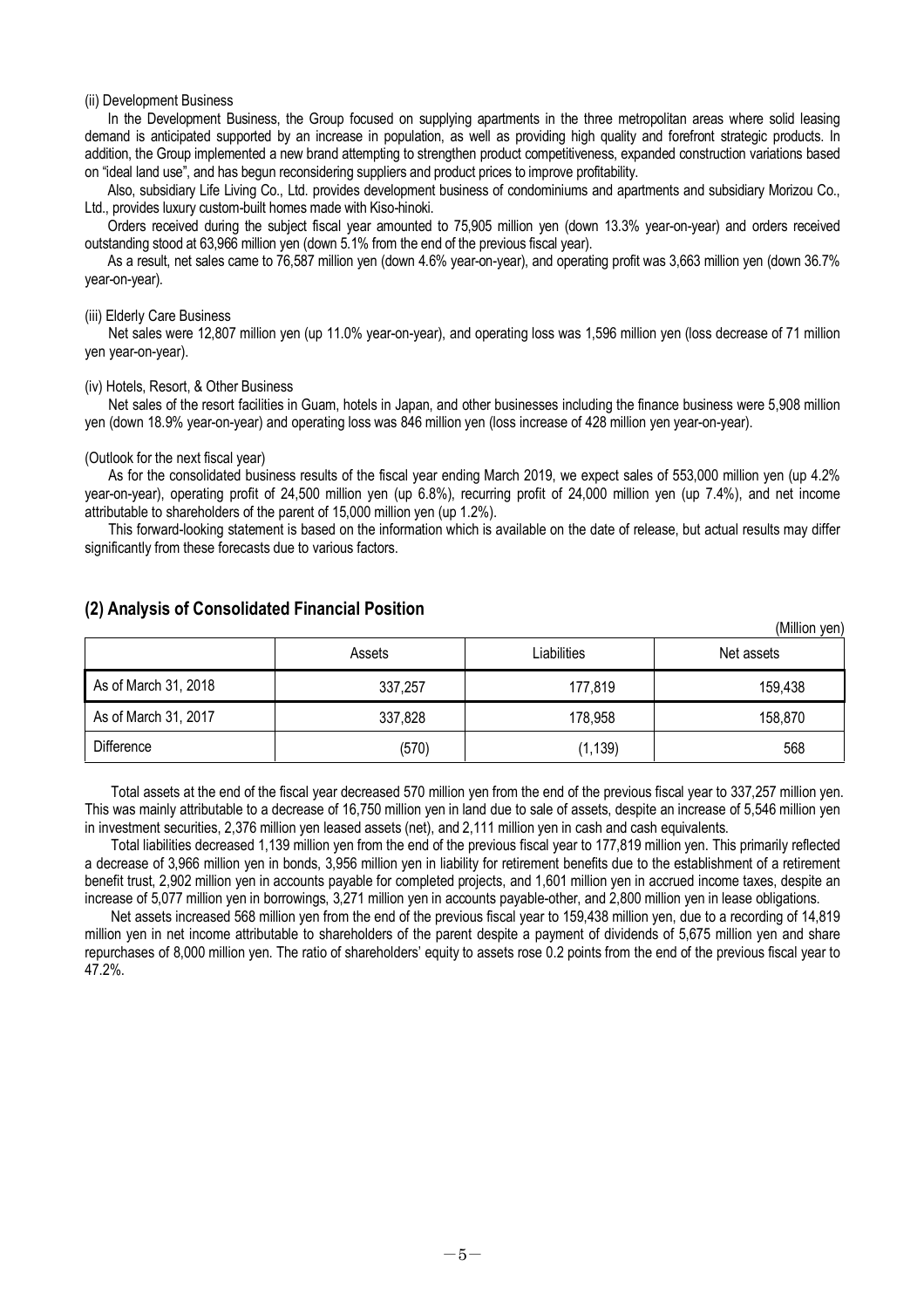#### (ii) Development Business

In the Development Business, the Group focused on supplying apartments in the three metropolitan areas where solid leasing demand is anticipated supported by an increase in population, as well as providing high quality and forefront strategic products. In addition, the Group implemented a new brand attempting to strengthen product competitiveness, expanded construction variations based on "ideal land use", and has begun reconsidering suppliers and product prices to improve profitability.

Also, subsidiary Life Living Co., Ltd. provides development business of condominiums and apartments and subsidiary Morizou Co., Ltd., provides luxury custom-built homes made with Kiso-hinoki.

Orders received during the subject fiscal year amounted to 75,905 million yen (down 13.3% year-on-year) and orders received outstanding stood at 63,966 million yen (down 5.1% from the end of the previous fiscal year).

As a result, net sales came to 76,587 million yen (down 4.6% year-on-year), and operating profit was 3,663 million yen (down 36.7% year-on-year).

#### (iii) Elderly Care Business

Net sales were 12,807 million yen (up 11.0% year-on-year), and operating loss was 1,596 million yen (loss decrease of 71 million yen year-on-year).

#### (iv) Hotels, Resort, & Other Business

Net sales of the resort facilities in Guam, hotels in Japan, and other businesses including the finance business were 5,908 million yen (down 18.9% year-on-year) and operating loss was 846 million yen (loss increase of 428 million yen year-on-year).

#### (Outlook for the next fiscal year)

As for the consolidated business results of the fiscal year ending March 2019, we expect sales of 553,000 million yen (up 4.2% year-on-year), operating profit of 24,500 million yen (up 6.8%), recurring profit of 24,000 million yen (up 7.4%), and net income attributable to shareholders of the parent of 15,000 million yen (up 1.2%).

This forward-looking statement is based on the information which is available on the date of release, but actual results may differ significantly from these forecasts due to various factors.

|                      | Assets  | Liabilities |         |
|----------------------|---------|-------------|---------|
| As of March 31, 2018 | 337,257 | 177,819     | 159,438 |
| As of March 31, 2017 | 337,828 | 178,958     | 158,870 |
| <b>Difference</b>    | (570)   | (1, 139)    | 568     |

 $(Millian$   $van$ 

### **(2) Analysis of Consolidated Financial Position**

Total assets at the end of the fiscal year decreased 570 million yen from the end of the previous fiscal year to 337,257 million yen. This was mainly attributable to a decrease of 16,750 million yen in land due to sale of assets, despite an increase of 5,546 million yen in investment securities, 2,376 million yen leased assets (net), and 2,111 million yen in cash and cash equivalents.

Total liabilities decreased 1,139 million yen from the end of the previous fiscal year to 177,819 million yen. This primarily reflected a decrease of 3,966 million yen in bonds, 3,956 million yen in liability for retirement benefits due to the establishment of a retirement benefit trust, 2,902 million yen in accounts payable for completed projects, and 1,601 million yen in accrued income taxes, despite an increase of 5,077 million yen in borrowings, 3,271 million yen in accounts payable-other, and 2,800 million yen in lease obligations.

Net assets increased 568 million yen from the end of the previous fiscal year to 159,438 million yen, due to a recording of 14,819 million yen in net income attributable to shareholders of the parent despite a payment of dividends of 5,675 million yen and share repurchases of 8,000 million yen. The ratio of shareholders' equity to assets rose 0.2 points from the end of the previous fiscal year to 47.2%.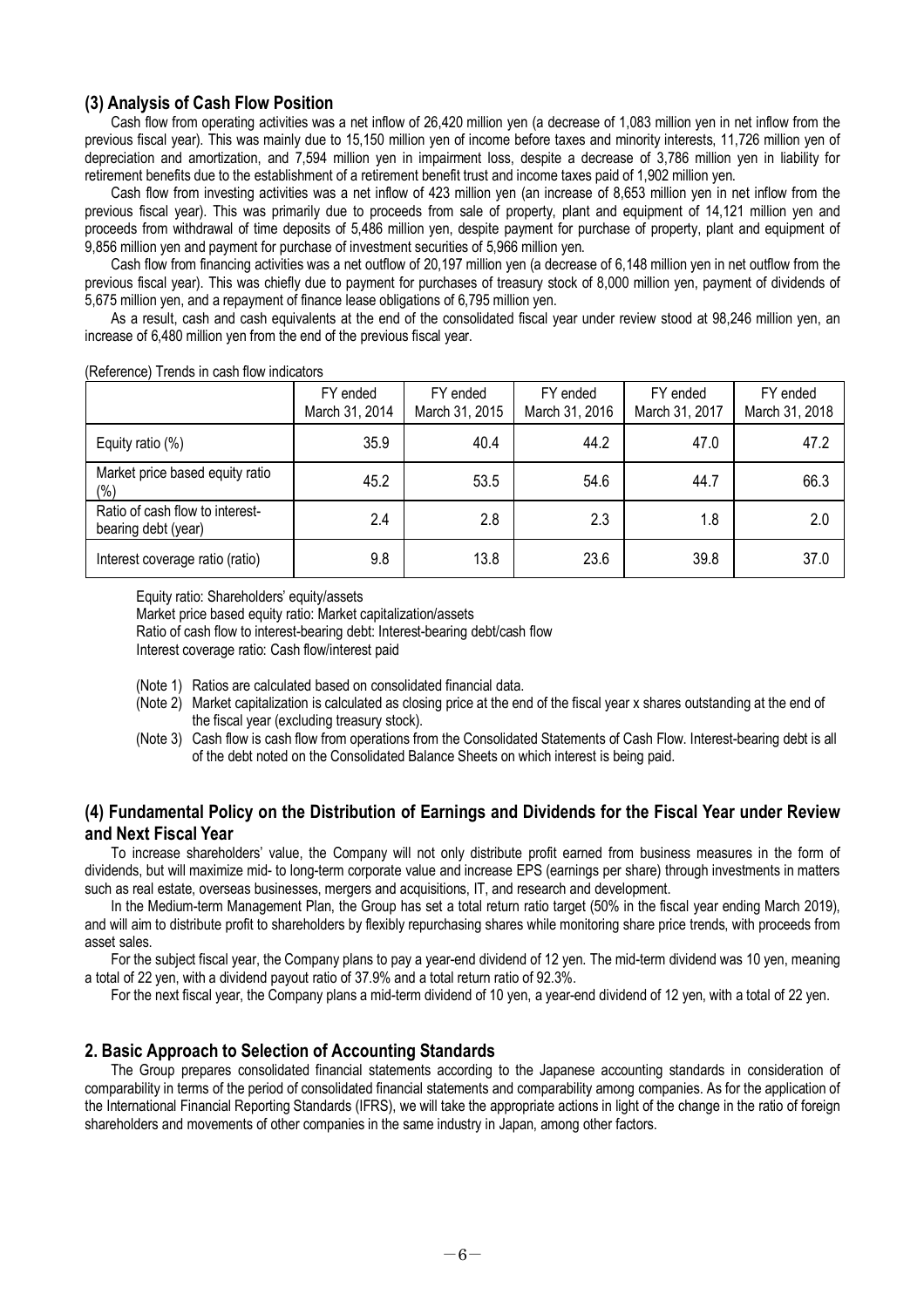### **(3) Analysis of Cash Flow Position**

Cash flow from operating activities was a net inflow of 26,420 million yen (a decrease of 1,083 million yen in net inflow from the previous fiscal year). This was mainly due to 15,150 million yen of income before taxes and minority interests, 11,726 million yen of depreciation and amortization, and 7,594 million yen in impairment loss, despite a decrease of 3,786 million yen in liability for retirement benefits due to the establishment of a retirement benefit trust and income taxes paid of 1,902 million yen.

Cash flow from investing activities was a net inflow of 423 million yen (an increase of 8,653 million yen in net inflow from the previous fiscal year). This was primarily due to proceeds from sale of property, plant and equipment of 14,121 million yen and proceeds from withdrawal of time deposits of 5,486 million yen, despite payment for purchase of property, plant and equipment of 9,856 million yen and payment for purchase of investment securities of 5,966 million yen.

Cash flow from financing activities was a net outflow of 20,197 million yen (a decrease of 6,148 million yen in net outflow from the previous fiscal year). This was chiefly due to payment for purchases of treasury stock of 8,000 million yen, payment of dividends of 5,675 million yen, and a repayment of finance lease obligations of 6,795 million yen.

As a result, cash and cash equivalents at the end of the consolidated fiscal year under review stood at 98,246 million yen, an increase of 6,480 million yen from the end of the previous fiscal year.

|                                                        | FY ended<br>March 31, 2014 | FY ended<br>March 31, 2015 | FY ended<br>March 31, 2016 | FY ended<br>March 31, 2017 | FY ended<br>March 31, 2018 |
|--------------------------------------------------------|----------------------------|----------------------------|----------------------------|----------------------------|----------------------------|
| Equity ratio (%)                                       | 35.9                       | 40.4                       | 44.2                       | 47.0                       | 47.2                       |
| Market price based equity ratio<br>$(\% )$             | 45.2                       | 53.5                       | 54.6                       | 44.7                       | 66.3                       |
| Ratio of cash flow to interest-<br>bearing debt (year) | 2.4                        | 2.8                        | 2.3                        | 1.8                        | 2.0                        |
| Interest coverage ratio (ratio)                        | 9.8                        | 13.8                       | 23.6                       | 39.8                       | 37.0                       |

(Reference) Trends in cash flow indicators

Equity ratio: Shareholders' equity/assets

Market price based equity ratio: Market capitalization/assets

Ratio of cash flow to interest-bearing debt: Interest-bearing debt/cash flow

Interest coverage ratio: Cash flow/interest paid

- (Note 1) Ratios are calculated based on consolidated financial data.
- (Note 2) Market capitalization is calculated as closing price at the end of the fiscal year x shares outstanding at the end of the fiscal year (excluding treasury stock).
- (Note 3) Cash flow is cash flow from operations from the Consolidated Statements of Cash Flow. Interest-bearing debt is all of the debt noted on the Consolidated Balance Sheets on which interest is being paid.

## **(4) Fundamental Policy on the Distribution of Earnings and Dividends for the Fiscal Year under Review and Next Fiscal Year**

To increase shareholders' value, the Company will not only distribute profit earned from business measures in the form of dividends, but will maximize mid- to long-term corporate value and increase EPS (earnings per share) through investments in matters such as real estate, overseas businesses, mergers and acquisitions, IT, and research and development.

In the Medium-term Management Plan, the Group has set a total return ratio target (50% in the fiscal year ending March 2019), and will aim to distribute profit to shareholders by flexibly repurchasing shares while monitoring share price trends, with proceeds from asset sales.

For the subject fiscal year, the Company plans to pay a year-end dividend of 12 yen. The mid-term dividend was 10 yen, meaning a total of 22 yen, with a dividend payout ratio of 37.9% and a total return ratio of 92.3%.

For the next fiscal year, the Company plans a mid-term dividend of 10 yen, a year-end dividend of 12 yen, with a total of 22 yen.

### **2. Basic Approach to Selection of Accounting Standards**

The Group prepares consolidated financial statements according to the Japanese accounting standards in consideration of comparability in terms of the period of consolidated financial statements and comparability among companies. As for the application of the International Financial Reporting Standards (IFRS), we will take the appropriate actions in light of the change in the ratio of foreign shareholders and movements of other companies in the same industry in Japan, among other factors.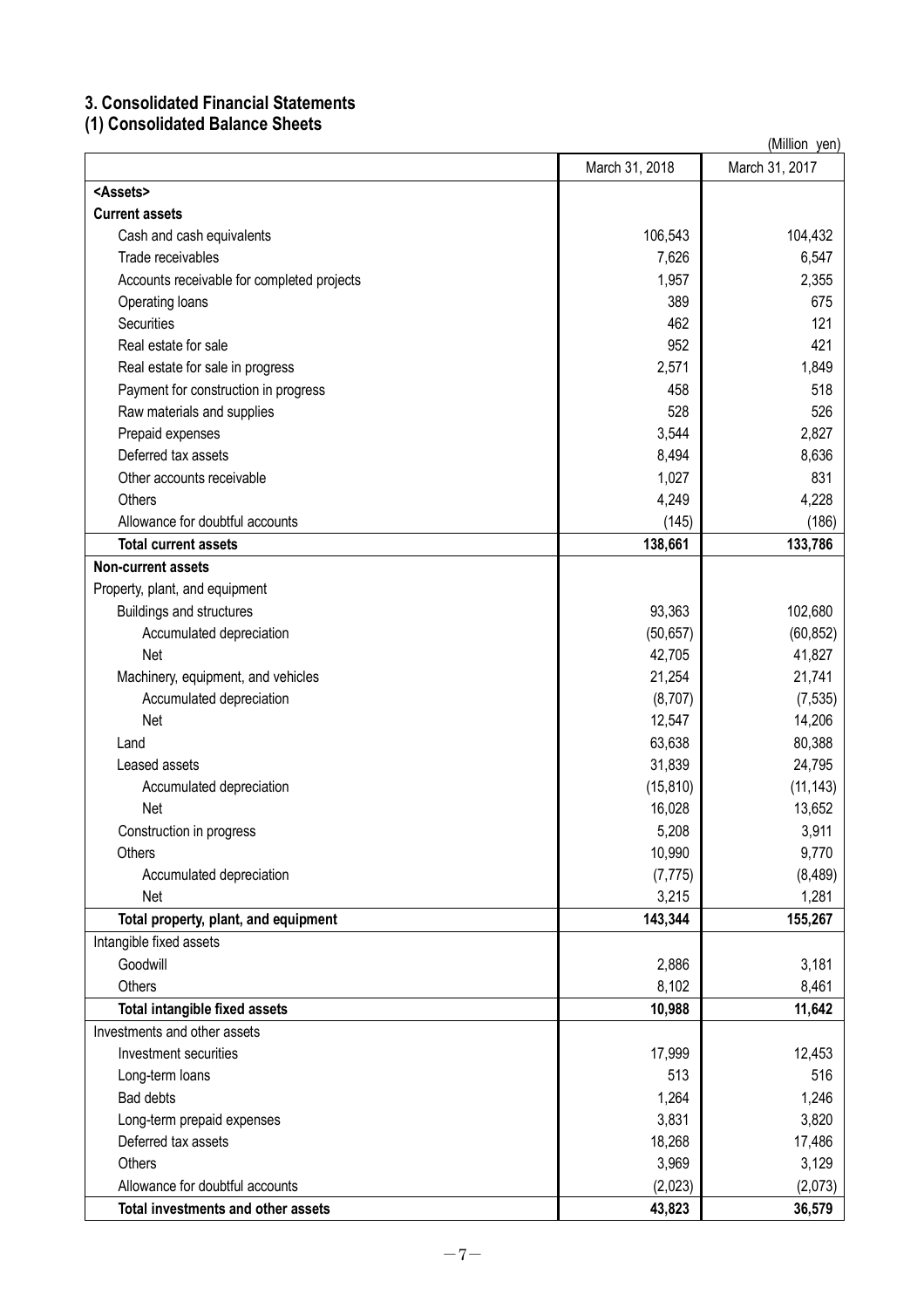# **3. Consolidated Financial Statements**

**(1) Consolidated Balance Sheets**

| (Million yen)                              |                |                |  |  |
|--------------------------------------------|----------------|----------------|--|--|
|                                            | March 31, 2018 | March 31, 2017 |  |  |
| <assets></assets>                          |                |                |  |  |
| <b>Current assets</b>                      |                |                |  |  |
| Cash and cash equivalents                  | 106,543        | 104,432        |  |  |
| Trade receivables                          | 7,626          | 6,547          |  |  |
| Accounts receivable for completed projects | 1,957          | 2,355          |  |  |
| Operating loans                            | 389            | 675            |  |  |
| <b>Securities</b>                          | 462            | 121            |  |  |
| Real estate for sale                       | 952            | 421            |  |  |
| Real estate for sale in progress           | 2,571          | 1,849          |  |  |
| Payment for construction in progress       | 458            | 518            |  |  |
| Raw materials and supplies                 | 528            | 526            |  |  |
| Prepaid expenses                           | 3,544          | 2,827          |  |  |
| Deferred tax assets                        | 8,494          | 8,636          |  |  |
| Other accounts receivable                  | 1,027          | 831            |  |  |
| Others                                     | 4,249          | 4,228          |  |  |
| Allowance for doubtful accounts            | (145)          | (186)          |  |  |
| <b>Total current assets</b>                | 138,661        | 133,786        |  |  |
| <b>Non-current assets</b>                  |                |                |  |  |
| Property, plant, and equipment             |                |                |  |  |
| <b>Buildings and structures</b>            | 93,363         | 102,680        |  |  |
| Accumulated depreciation                   | (50, 657)      | (60, 852)      |  |  |
| Net                                        | 42,705         | 41,827         |  |  |
| Machinery, equipment, and vehicles         | 21,254         | 21,741         |  |  |
| Accumulated depreciation                   | (8,707)        | (7, 535)       |  |  |
| Net                                        | 12,547         | 14,206         |  |  |
| Land                                       | 63,638         | 80,388         |  |  |
| Leased assets                              | 31,839         | 24,795         |  |  |
| Accumulated depreciation                   | (15, 810)      | (11, 143)      |  |  |
| Net                                        | 16,028         | 13,652         |  |  |
| Construction in progress                   | 5,208          | 3,911          |  |  |
| <b>Others</b>                              | 10,990         | 9,770          |  |  |
| Accumulated depreciation                   | (7, 775)       | (8, 489)       |  |  |
| Net                                        | 3,215          | 1,281          |  |  |
| Total property, plant, and equipment       | 143,344        | 155,267        |  |  |
| Intangible fixed assets                    |                |                |  |  |
| Goodwill                                   | 2,886          | 3,181          |  |  |
| <b>Others</b>                              | 8,102          | 8,461          |  |  |
| <b>Total intangible fixed assets</b>       | 10,988         | 11,642         |  |  |
| Investments and other assets               |                |                |  |  |
| Investment securities                      | 17,999         | 12,453         |  |  |
| Long-term loans                            | 513            | 516            |  |  |
| <b>Bad debts</b>                           | 1,264          | 1,246          |  |  |
| Long-term prepaid expenses                 | 3,831          | 3,820          |  |  |
| Deferred tax assets                        | 18,268         | 17,486         |  |  |
| Others                                     | 3,969          | 3,129          |  |  |
| Allowance for doubtful accounts            | (2,023)        | (2,073)        |  |  |
| Total investments and other assets         | 43,823         | 36,579         |  |  |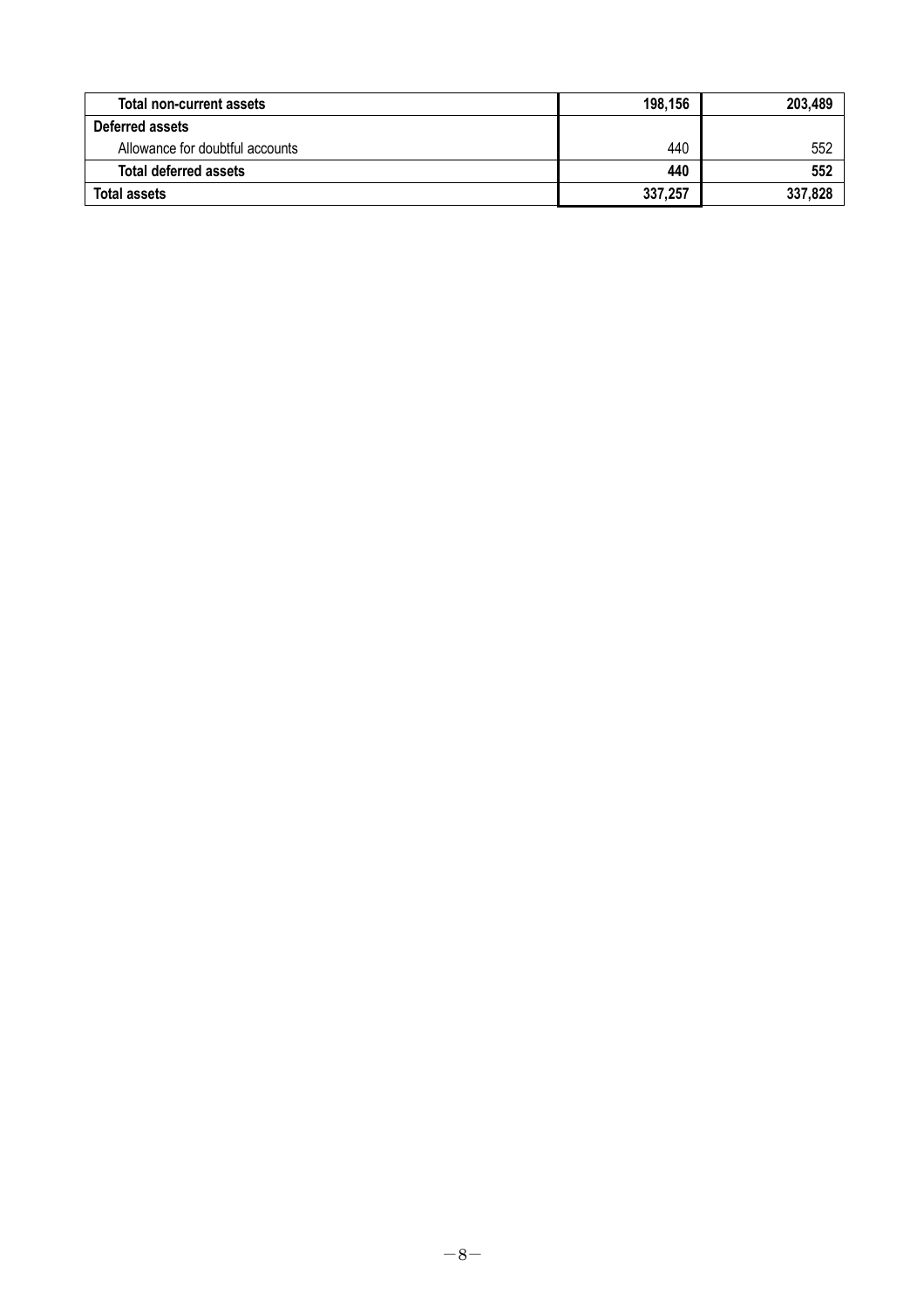| Total non-current assets        | 198,156 | 203,489 |
|---------------------------------|---------|---------|
| Deferred assets                 |         |         |
| Allowance for doubtful accounts | 440     | 552     |
| <b>Total deferred assets</b>    | 440     | 552     |
| <b>Total assets</b>             | 337,257 | 337,828 |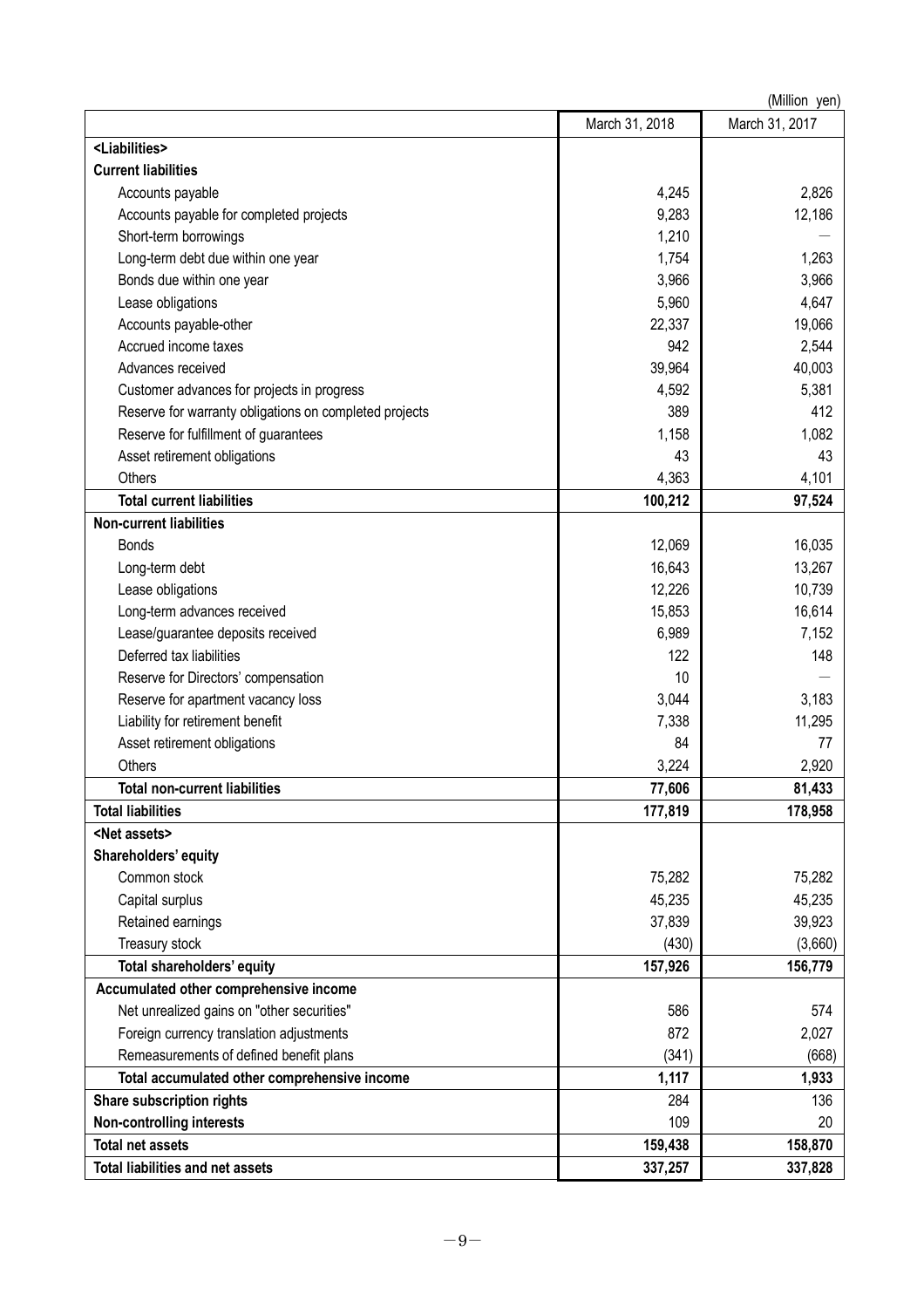| (Million yen)                                          |                |                |  |  |
|--------------------------------------------------------|----------------|----------------|--|--|
|                                                        | March 31, 2018 | March 31, 2017 |  |  |
| <liabilities></liabilities>                            |                |                |  |  |
| <b>Current liabilities</b>                             |                |                |  |  |
| Accounts payable                                       | 4,245          | 2,826          |  |  |
| Accounts payable for completed projects                | 9,283          | 12,186         |  |  |
| Short-term borrowings                                  | 1,210          |                |  |  |
| Long-term debt due within one year                     | 1,754          | 1,263          |  |  |
| Bonds due within one year                              | 3,966          | 3,966          |  |  |
| Lease obligations                                      | 5,960          | 4,647          |  |  |
| Accounts payable-other                                 | 22,337         | 19,066         |  |  |
| Accrued income taxes                                   | 942            | 2,544          |  |  |
| Advances received                                      | 39,964         | 40,003         |  |  |
| Customer advances for projects in progress             | 4,592          | 5,381          |  |  |
| Reserve for warranty obligations on completed projects | 389            | 412            |  |  |
| Reserve for fulfillment of guarantees                  | 1,158          | 1,082          |  |  |
| Asset retirement obligations                           | 43             | 43             |  |  |
| Others                                                 | 4,363          | 4,101          |  |  |
| <b>Total current liabilities</b>                       | 100,212        | 97,524         |  |  |
| <b>Non-current liabilities</b>                         |                |                |  |  |
| <b>Bonds</b>                                           | 12,069         | 16,035         |  |  |
| Long-term debt                                         | 16,643         | 13,267         |  |  |
| Lease obligations                                      | 12,226         | 10,739         |  |  |
| Long-term advances received                            | 15,853         | 16,614         |  |  |
| Lease/guarantee deposits received                      | 6,989          | 7,152          |  |  |
| Deferred tax liabilities                               | 122            | 148            |  |  |
| Reserve for Directors' compensation                    | 10             |                |  |  |
| Reserve for apartment vacancy loss                     | 3,044          | 3,183          |  |  |
| Liability for retirement benefit                       | 7,338          | 11,295         |  |  |
| Asset retirement obligations                           | 84             | 77             |  |  |
| Others                                                 | 3,224          | 2,920          |  |  |
| <b>Total non-current liabilities</b>                   | 77,606         | 81,433         |  |  |
| <b>Total liabilities</b>                               | 177,819        | 178,958        |  |  |
| <net assets=""></net>                                  |                |                |  |  |
| Shareholders' equity                                   |                |                |  |  |
| Common stock                                           | 75,282         | 75,282         |  |  |
| Capital surplus                                        | 45,235         | 45,235         |  |  |
| Retained earnings                                      | 37,839         | 39,923         |  |  |
| Treasury stock                                         | (430)          | (3,660)        |  |  |
| Total shareholders' equity                             | 157,926        | 156,779        |  |  |
| Accumulated other comprehensive income                 |                |                |  |  |
| Net unrealized gains on "other securities"             | 586            | 574            |  |  |
| Foreign currency translation adjustments               | 872            | 2,027          |  |  |
| Remeasurements of defined benefit plans                | (341)          | (668)          |  |  |
| Total accumulated other comprehensive income           | 1,117          | 1,933          |  |  |
| Share subscription rights                              | 284            | 136            |  |  |
| <b>Non-controlling interests</b>                       | 109            | 20             |  |  |
| <b>Total net assets</b>                                | 159,438        | 158,870        |  |  |
| <b>Total liabilities and net assets</b>                | 337,257        | 337,828        |  |  |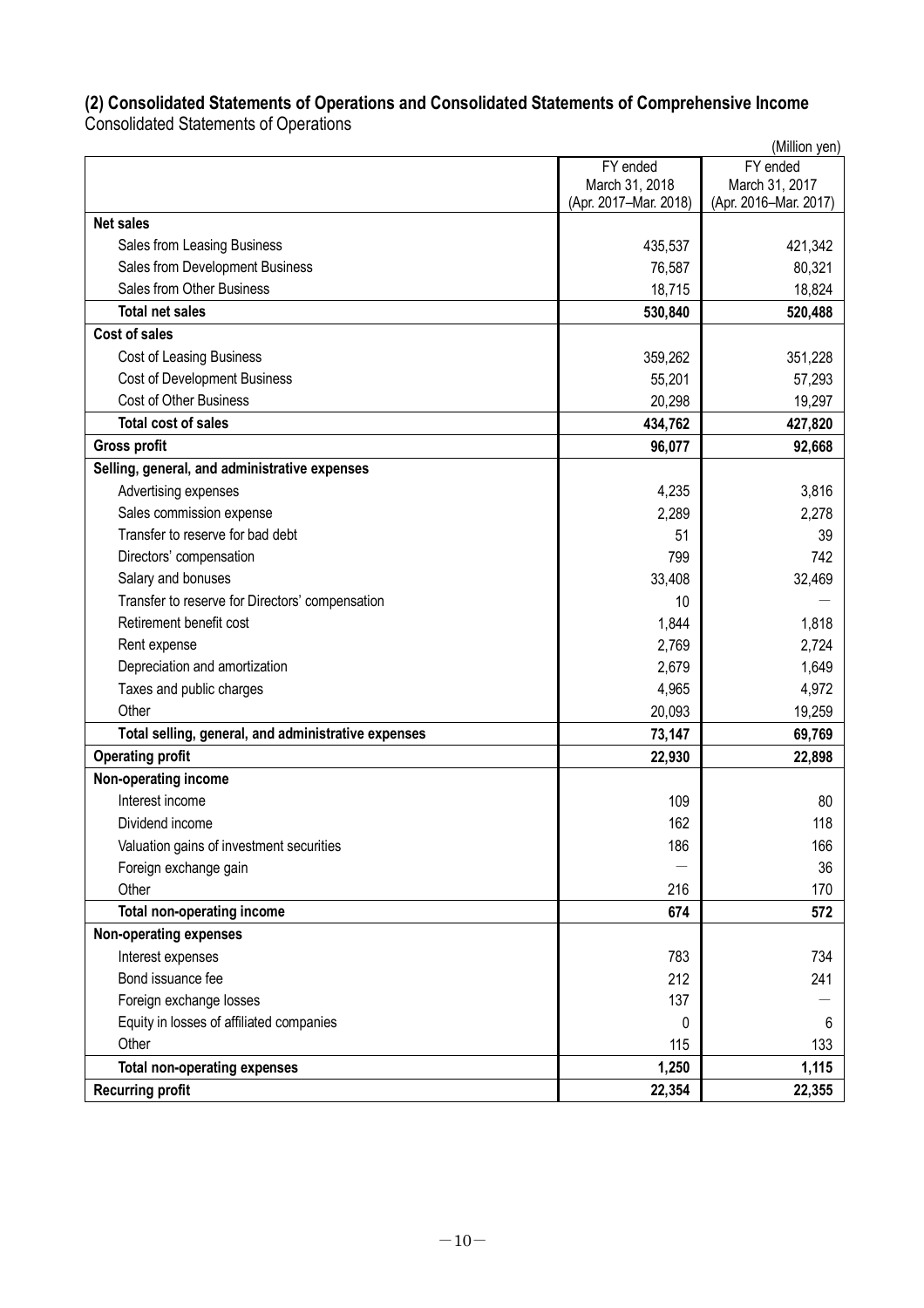# **(2) Consolidated Statements of Operations and Consolidated Statements of Comprehensive Income**

Consolidated Statements of Operations

| (Million yen)                                       |                       |                       |  |  |
|-----------------------------------------------------|-----------------------|-----------------------|--|--|
|                                                     | FY ended              | FY ended              |  |  |
|                                                     | March 31, 2018        | March 31, 2017        |  |  |
|                                                     | (Apr. 2017-Mar. 2018) | (Apr. 2016-Mar. 2017) |  |  |
| <b>Net sales</b>                                    |                       |                       |  |  |
| Sales from Leasing Business                         | 435,537               | 421,342               |  |  |
| Sales from Development Business                     | 76,587                | 80,321                |  |  |
| Sales from Other Business                           | 18,715                | 18,824                |  |  |
| <b>Total net sales</b><br>Cost of sales             | 530,840               | 520,488               |  |  |
|                                                     |                       |                       |  |  |
| Cost of Leasing Business                            | 359,262               | 351,228               |  |  |
| <b>Cost of Development Business</b>                 | 55,201                | 57,293                |  |  |
| Cost of Other Business                              | 20,298                | 19,297                |  |  |
| <b>Total cost of sales</b>                          | 434,762               | 427,820               |  |  |
| <b>Gross profit</b>                                 | 96,077                | 92,668                |  |  |
| Selling, general, and administrative expenses       |                       |                       |  |  |
| Advertising expenses                                | 4,235                 | 3,816                 |  |  |
| Sales commission expense                            | 2,289                 | 2,278                 |  |  |
| Transfer to reserve for bad debt                    | 51                    | 39                    |  |  |
| Directors' compensation                             | 799                   | 742                   |  |  |
| Salary and bonuses                                  | 33,408                | 32,469                |  |  |
| Transfer to reserve for Directors' compensation     | 10                    |                       |  |  |
| Retirement benefit cost                             | 1,844                 | 1,818                 |  |  |
| Rent expense                                        | 2,769                 | 2,724                 |  |  |
| Depreciation and amortization                       | 2,679                 | 1,649                 |  |  |
| Taxes and public charges                            | 4,965                 | 4,972                 |  |  |
| Other                                               | 20,093                | 19,259                |  |  |
| Total selling, general, and administrative expenses | 73,147                | 69,769                |  |  |
| <b>Operating profit</b>                             | 22,930                | 22,898                |  |  |
| Non-operating income                                |                       |                       |  |  |
| Interest income                                     | 109                   | 80                    |  |  |
| Dividend income                                     | 162                   | 118                   |  |  |
| Valuation gains of investment securities            | 186                   | 166                   |  |  |
| Foreign exchange gain                               |                       | 36                    |  |  |
| Other                                               | 216                   | 170                   |  |  |
| <b>Total non-operating income</b>                   | 674                   | 572                   |  |  |
| Non-operating expenses                              |                       |                       |  |  |
| Interest expenses                                   | 783                   | 734                   |  |  |
| Bond issuance fee                                   | 212                   | 241                   |  |  |
| Foreign exchange losses                             | 137                   |                       |  |  |
| Equity in losses of affiliated companies            | 0                     | 6                     |  |  |
| Other                                               | 115                   | 133                   |  |  |
| <b>Total non-operating expenses</b>                 | 1,250                 | 1,115                 |  |  |
| <b>Recurring profit</b>                             | 22,354                | 22,355                |  |  |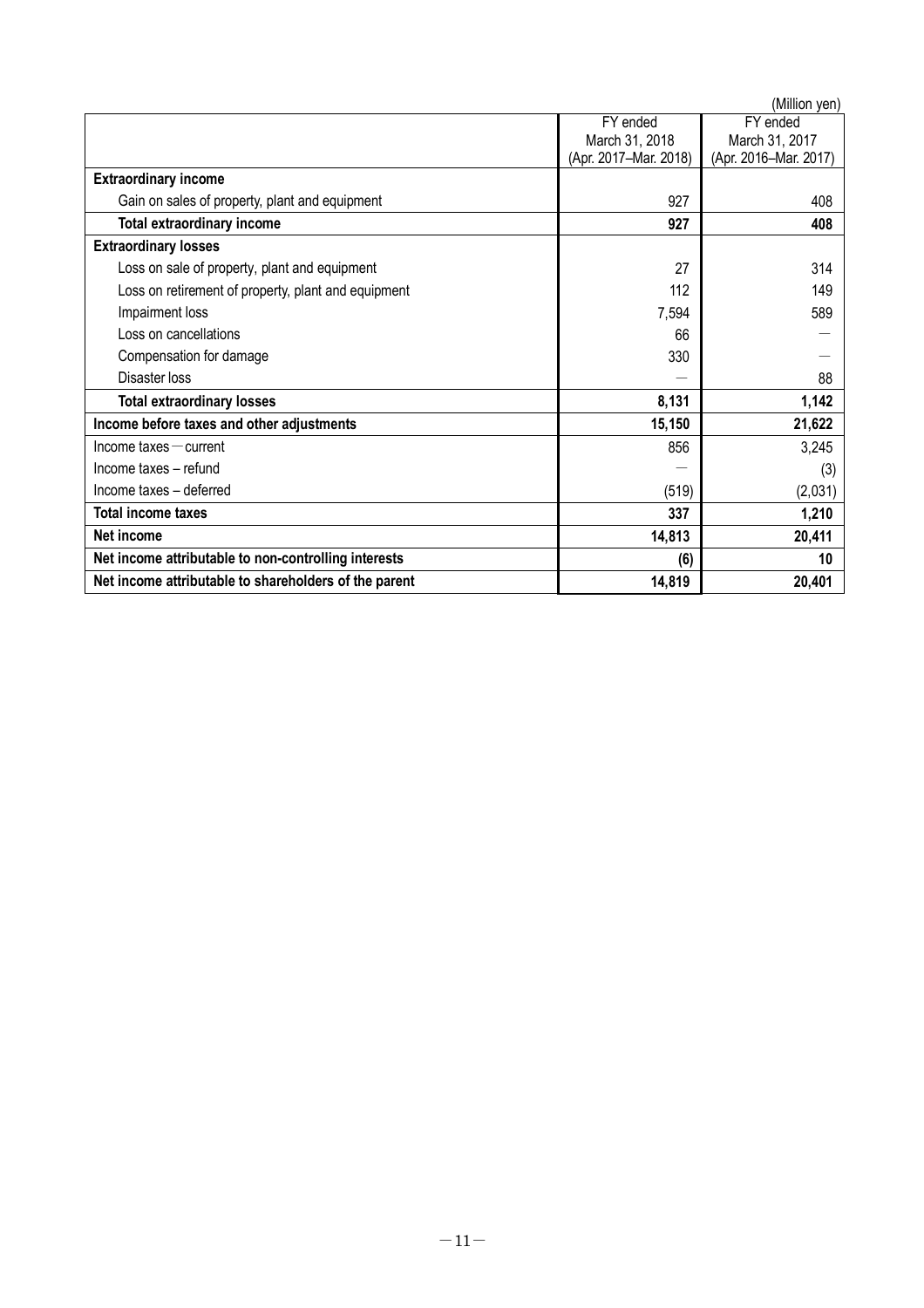|                                                       |                       | (Million yen)         |
|-------------------------------------------------------|-----------------------|-----------------------|
|                                                       | FY ended              | FY ended              |
|                                                       | March 31, 2018        | March 31, 2017        |
|                                                       | (Apr. 2017-Mar. 2018) | (Apr. 2016-Mar. 2017) |
| <b>Extraordinary income</b>                           |                       |                       |
| Gain on sales of property, plant and equipment        | 927                   | 408                   |
| Total extraordinary income                            | 927                   | 408                   |
| <b>Extraordinary losses</b>                           |                       |                       |
| Loss on sale of property, plant and equipment         | 27                    | 314                   |
| Loss on retirement of property, plant and equipment   | 112                   | 149                   |
| Impairment loss                                       | 7,594                 | 589                   |
| Loss on cancellations                                 | 66                    |                       |
| Compensation for damage                               | 330                   |                       |
| Disaster loss                                         |                       | 88                    |
| <b>Total extraordinary losses</b>                     | 8,131                 | 1,142                 |
| Income before taxes and other adjustments             | 15,150                | 21,622                |
| $Income taxes - current$                              | 856                   | 3,245                 |
| Income taxes - refund                                 |                       | (3)                   |
| Income taxes - deferred                               | (519)                 | (2,031)               |
| <b>Total income taxes</b>                             | 337                   | 1,210                 |
| Net income                                            | 14,813                | 20,411                |
| Net income attributable to non-controlling interests  | (6)                   | 10                    |
| Net income attributable to shareholders of the parent | 14,819                | 20,401                |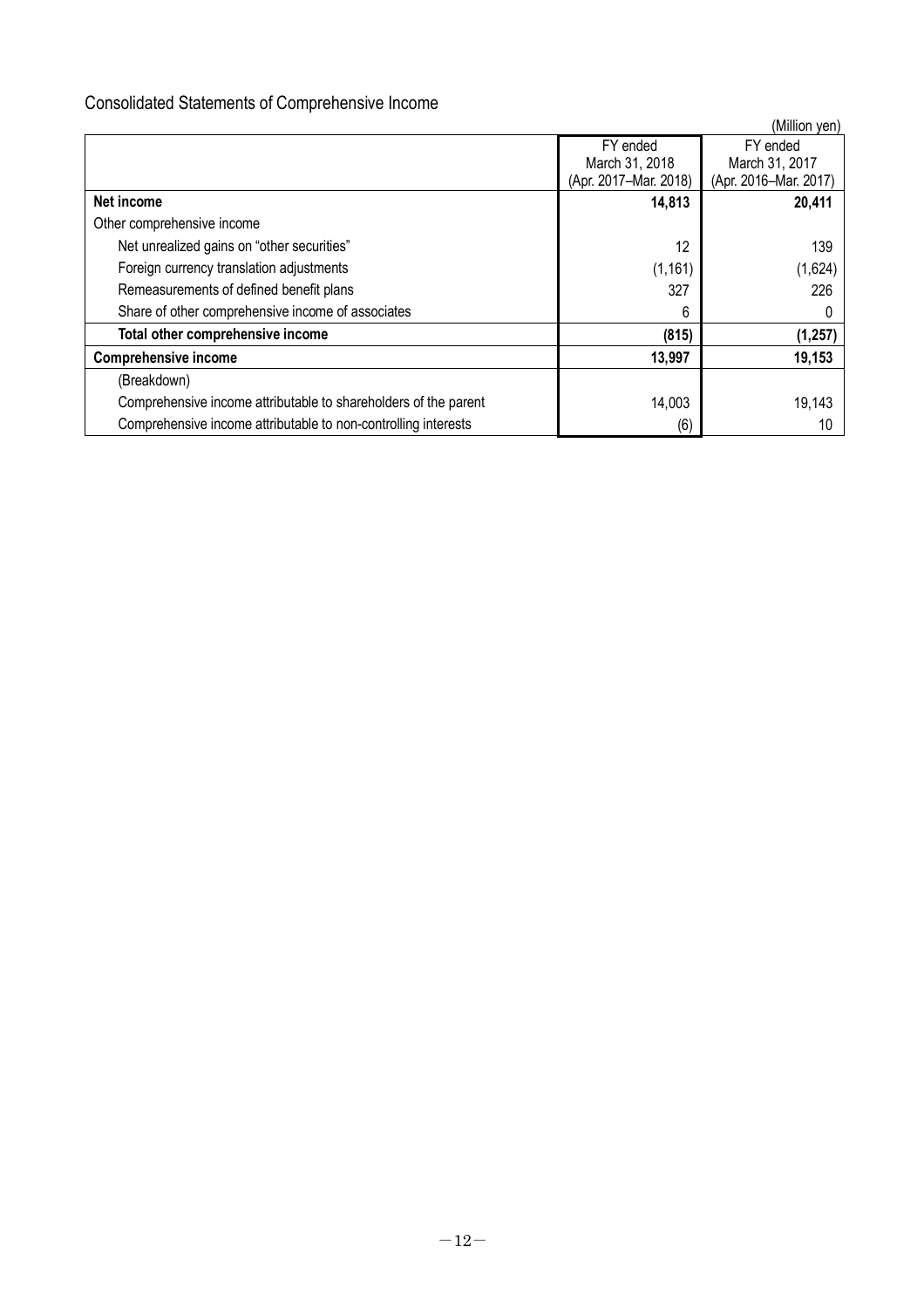# Consolidated Statements of Comprehensive Income

|                                                                 |                       | (Million yen)         |
|-----------------------------------------------------------------|-----------------------|-----------------------|
|                                                                 | FY ended              | FY ended              |
|                                                                 | March 31, 2018        | March 31, 2017        |
|                                                                 | (Apr. 2017-Mar. 2018) | (Apr. 2016-Mar. 2017) |
| Net income                                                      | 14,813                | 20,411                |
| Other comprehensive income                                      |                       |                       |
| Net unrealized gains on "other securities"                      | 12                    | 139                   |
| Foreign currency translation adjustments                        | (1, 161)              | (1,624)               |
| Remeasurements of defined benefit plans                         | 327                   | 226                   |
| Share of other comprehensive income of associates               | 6                     |                       |
| Total other comprehensive income                                | (815)                 | (1, 257)              |
| <b>Comprehensive income</b>                                     | 13,997                | 19,153                |
| (Breakdown)                                                     |                       |                       |
| Comprehensive income attributable to shareholders of the parent | 14,003                | 19,143                |
| Comprehensive income attributable to non-controlling interests  | (6)                   | 10                    |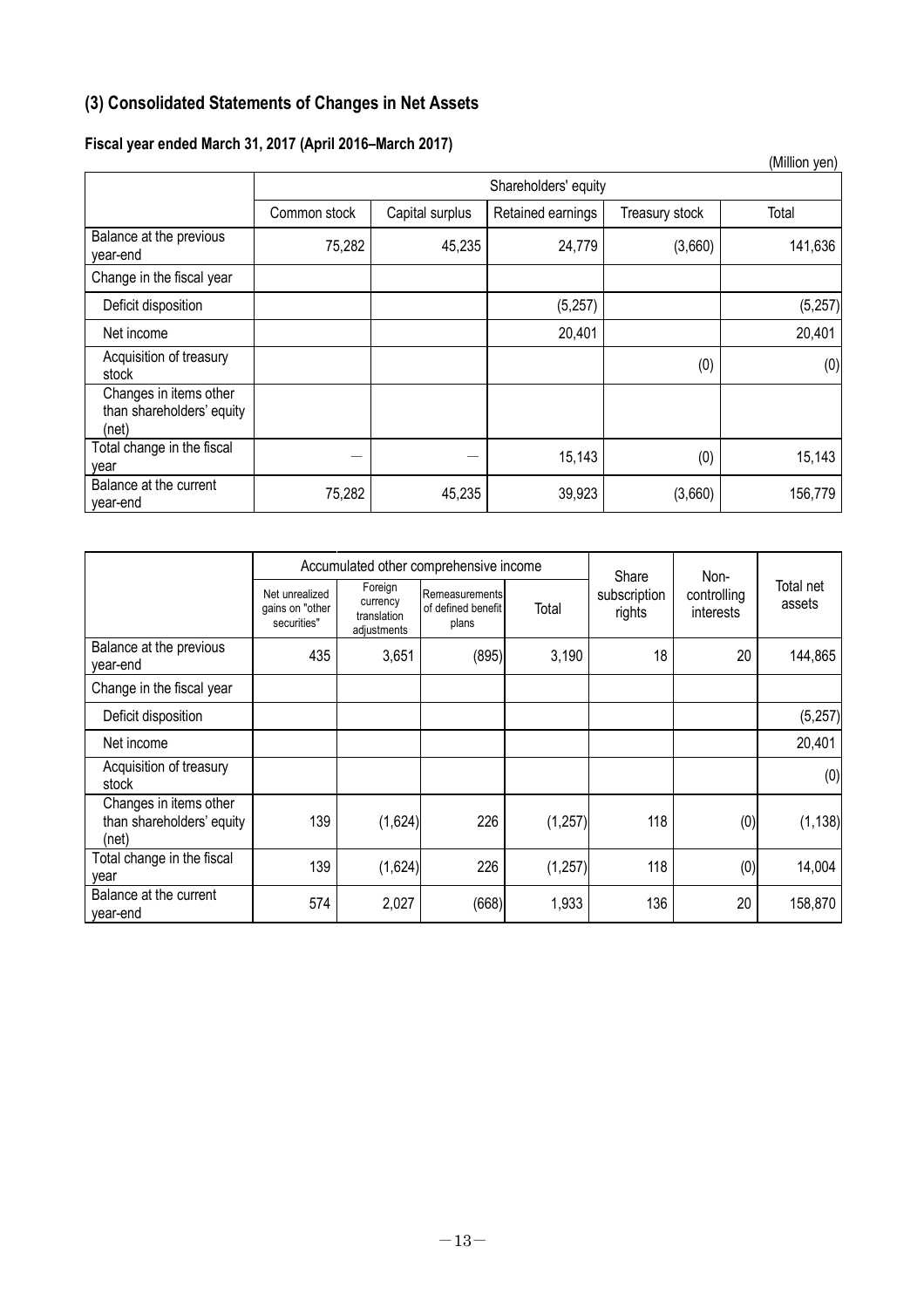# **(3) Consolidated Statements of Changes in Net Assets**

# **Fiscal year ended March 31, 2017 (April 2016–March 2017)**

|                                                              |              |                      |                   |                | (Million yen) |  |  |
|--------------------------------------------------------------|--------------|----------------------|-------------------|----------------|---------------|--|--|
|                                                              |              | Shareholders' equity |                   |                |               |  |  |
|                                                              | Common stock | Capital surplus      | Retained earnings | Treasury stock | Total         |  |  |
| Balance at the previous<br>year-end                          | 75,282       | 45,235               | 24,779            | (3,660)        | 141,636       |  |  |
| Change in the fiscal year                                    |              |                      |                   |                |               |  |  |
| Deficit disposition                                          |              |                      | (5,257)           |                | (5, 257)      |  |  |
| Net income                                                   |              |                      | 20,401            |                | 20,401        |  |  |
| Acquisition of treasury<br>stock                             |              |                      |                   | (0)            | (0)           |  |  |
| Changes in items other<br>than shareholders' equity<br>(net) |              |                      |                   |                |               |  |  |
| Total change in the fiscal<br>year                           |              |                      | 15,143            | (0)            | 15,143        |  |  |
| Balance at the current<br>year-end                           | 75,282       | 45,235               | 39,923            | (3,660)        | 156,779       |  |  |

|                                                              |                                                  |                                                   | Accumulated other comprehensive income        |          | Share                  | Non-                     |                     |
|--------------------------------------------------------------|--------------------------------------------------|---------------------------------------------------|-----------------------------------------------|----------|------------------------|--------------------------|---------------------|
|                                                              | Net unrealized<br>gains on "other<br>securities" | Foreign<br>currency<br>translation<br>adjustments | Remeasurements<br>of defined benefit<br>plans | Total    | subscription<br>rights | controlling<br>interests | Total net<br>assets |
| Balance at the previous<br>year-end                          | 435                                              | 3,651                                             | (895)                                         | 3,190    | 18                     | 20                       | 144,865             |
| Change in the fiscal year                                    |                                                  |                                                   |                                               |          |                        |                          |                     |
| Deficit disposition                                          |                                                  |                                                   |                                               |          |                        |                          | (5,257)             |
| Net income                                                   |                                                  |                                                   |                                               |          |                        |                          | 20,401              |
| Acquisition of treasury<br>stock                             |                                                  |                                                   |                                               |          |                        |                          | (0)                 |
| Changes in items other<br>than shareholders' equity<br>(net) | 139                                              | (1,624)                                           | 226                                           | (1, 257) | 118                    | (0)                      | (1, 138)            |
| Total change in the fiscal<br>year                           | 139                                              | (1,624)                                           | 226                                           | (1, 257) | 118                    | (0)                      | 14,004              |
| Balance at the current<br>year-end                           | 574                                              | 2,027                                             | (668)                                         | 1,933    | 136                    | 20                       | 158,870             |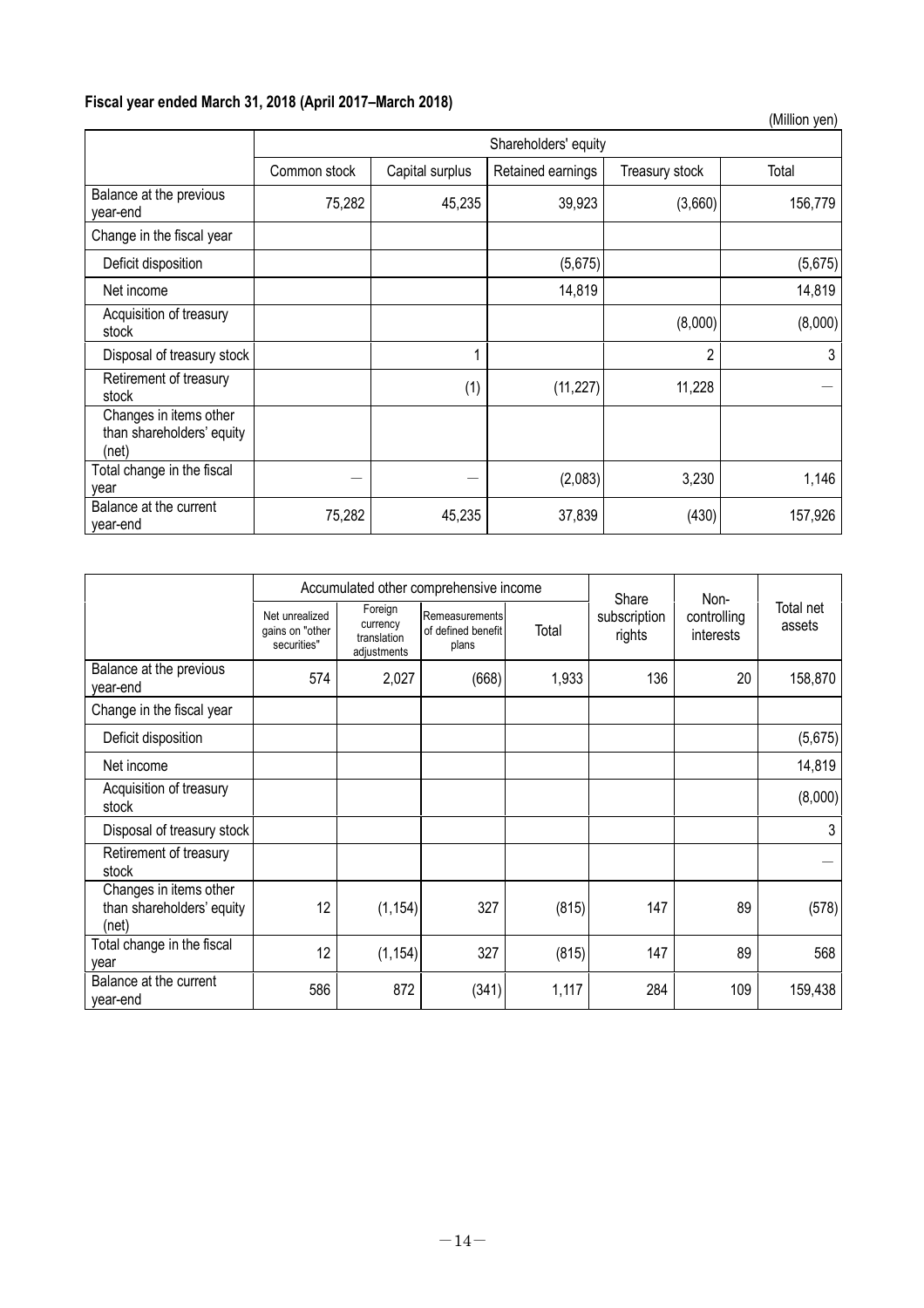# **Fiscal year ended March 31, 2018 (April 2017–March 2018)**

|                                                              |              |                      |                   |                | (Million yen) |  |  |
|--------------------------------------------------------------|--------------|----------------------|-------------------|----------------|---------------|--|--|
|                                                              |              | Shareholders' equity |                   |                |               |  |  |
|                                                              | Common stock | Capital surplus      | Retained earnings | Treasury stock | Total         |  |  |
| Balance at the previous<br>year-end                          | 75,282       | 45,235               | 39,923            | (3,660)        | 156,779       |  |  |
| Change in the fiscal year                                    |              |                      |                   |                |               |  |  |
| Deficit disposition                                          |              |                      | (5,675)           |                | (5,675)       |  |  |
| Net income                                                   |              |                      | 14,819            |                | 14,819        |  |  |
| Acquisition of treasury<br>stock                             |              |                      |                   | (8,000)        | (8,000)       |  |  |
| Disposal of treasury stock                                   |              |                      |                   | $\overline{2}$ | 3             |  |  |
| Retirement of treasury<br>stock                              |              | (1)                  | (11, 227)         | 11,228         |               |  |  |
| Changes in items other<br>than shareholders' equity<br>(net) |              |                      |                   |                |               |  |  |
| Total change in the fiscal<br>vear                           |              |                      | (2,083)           | 3,230          | 1,146         |  |  |
| Balance at the current<br>year-end                           | 75,282       | 45,235               | 37,839            | (430)          | 157,926       |  |  |

|                                                              | Accumulated other comprehensive income           |                                                   |                                               |       | Share                  | Non-                     |                     |
|--------------------------------------------------------------|--------------------------------------------------|---------------------------------------------------|-----------------------------------------------|-------|------------------------|--------------------------|---------------------|
|                                                              | Net unrealized<br>gains on "other<br>securities" | Foreign<br>currency<br>translation<br>adjustments | Remeasurements<br>of defined benefit<br>plans | Total | subscription<br>rights | controlling<br>interests | Total net<br>assets |
| Balance at the previous<br>year-end                          | 574                                              | 2,027                                             | (668)                                         | 1,933 | 136                    | 20                       | 158,870             |
| Change in the fiscal year                                    |                                                  |                                                   |                                               |       |                        |                          |                     |
| Deficit disposition                                          |                                                  |                                                   |                                               |       |                        |                          | (5,675)             |
| Net income                                                   |                                                  |                                                   |                                               |       |                        |                          | 14,819              |
| Acquisition of treasury<br>stock                             |                                                  |                                                   |                                               |       |                        |                          | (8,000)             |
| Disposal of treasury stock                                   |                                                  |                                                   |                                               |       |                        |                          | 3                   |
| Retirement of treasury<br>stock                              |                                                  |                                                   |                                               |       |                        |                          |                     |
| Changes in items other<br>than shareholders' equity<br>(net) | 12                                               | (1, 154)                                          | 327                                           | (815) | 147                    | 89                       | (578)               |
| Total change in the fiscal<br>vear                           | 12                                               | (1, 154)                                          | 327                                           | (815) | 147                    | 89                       | 568                 |
| Balance at the current<br>year-end                           | 586                                              | 872                                               | (341)                                         | 1,117 | 284                    | 109                      | 159,438             |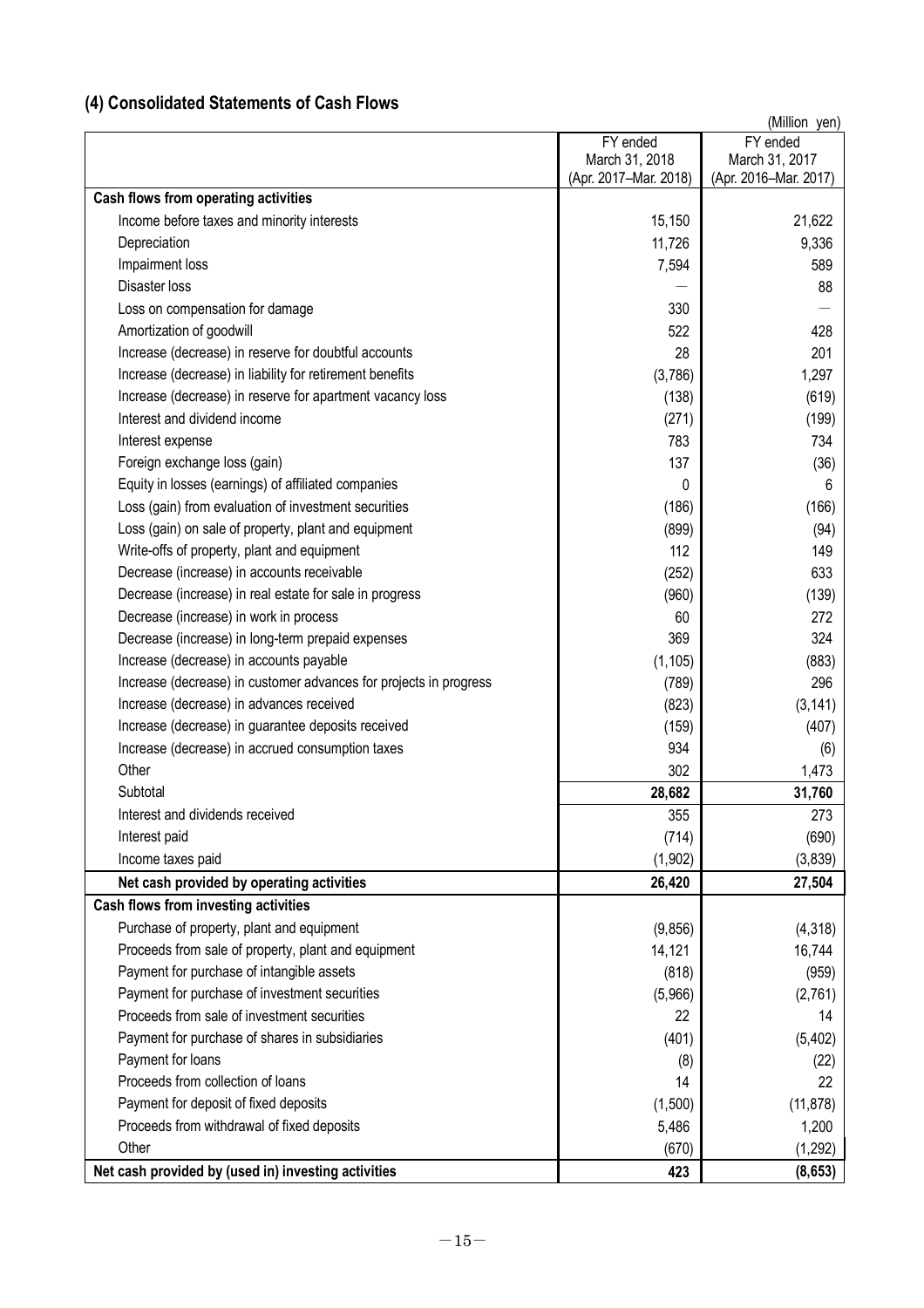# **(4) Consolidated Statements of Cash Flows**

|                                                                   |                       | (Million yen)         |
|-------------------------------------------------------------------|-----------------------|-----------------------|
|                                                                   | FY ended              | FY ended              |
|                                                                   | March 31, 2018        | March 31, 2017        |
|                                                                   | (Apr. 2017-Mar. 2018) | (Apr. 2016-Mar. 2017) |
| Cash flows from operating activities                              |                       |                       |
| Income before taxes and minority interests                        | 15,150                | 21,622                |
| Depreciation                                                      | 11,726                | 9,336                 |
| Impairment loss                                                   | 7,594                 | 589                   |
| <b>Disaster loss</b>                                              |                       | 88                    |
| Loss on compensation for damage                                   | 330                   |                       |
| Amortization of goodwill                                          | 522                   | 428                   |
| Increase (decrease) in reserve for doubtful accounts              | 28                    | 201                   |
| Increase (decrease) in liability for retirement benefits          | (3,786)               | 1,297                 |
| Increase (decrease) in reserve for apartment vacancy loss         | (138)                 | (619)                 |
| Interest and dividend income                                      | (271)                 | (199)                 |
| Interest expense                                                  | 783                   | 734                   |
| Foreign exchange loss (gain)                                      | 137                   | (36)                  |
| Equity in losses (earnings) of affiliated companies               | 0                     | 6                     |
| Loss (gain) from evaluation of investment securities              | (186)                 | (166)                 |
| Loss (gain) on sale of property, plant and equipment              | (899)                 | (94)                  |
| Write-offs of property, plant and equipment                       | 112                   | 149                   |
| Decrease (increase) in accounts receivable                        | (252)                 | 633                   |
| Decrease (increase) in real estate for sale in progress           | (960)                 |                       |
|                                                                   |                       | (139)                 |
| Decrease (increase) in work in process                            | 60                    | 272                   |
| Decrease (increase) in long-term prepaid expenses                 | 369                   | 324                   |
| Increase (decrease) in accounts payable                           | (1, 105)              | (883)                 |
| Increase (decrease) in customer advances for projects in progress | (789)                 | 296                   |
| Increase (decrease) in advances received                          | (823)                 | (3, 141)              |
| Increase (decrease) in guarantee deposits received                | (159)                 | (407)                 |
| Increase (decrease) in accrued consumption taxes                  | 934                   | (6)                   |
| Other                                                             | 302                   | 1,473                 |
| Subtotal                                                          | 28,682                | 31,760                |
| Interest and dividends received                                   | 355                   | 273                   |
| Interest paid                                                     | (714)                 | (690)                 |
| Income taxes paid                                                 | (1,902)               | (3, 839)              |
| Net cash provided by operating activities                         | 26,420                | 27,504                |
| Cash flows from investing activities                              |                       |                       |
| Purchase of property, plant and equipment                         | (9, 856)              | (4,318)               |
| Proceeds from sale of property, plant and equipment               | 14,121                | 16,744                |
| Payment for purchase of intangible assets                         | (818)                 | (959)                 |
| Payment for purchase of investment securities                     | (5,966)               | (2,761)               |
| Proceeds from sale of investment securities                       | 22                    | 14                    |
| Payment for purchase of shares in subsidiaries                    | (401)                 | (5, 402)              |
| Payment for loans                                                 | (8)                   | (22)                  |
| Proceeds from collection of loans                                 |                       | 22                    |
|                                                                   | 14                    |                       |
| Payment for deposit of fixed deposits                             | (1,500)               | (11, 878)             |
| Proceeds from withdrawal of fixed deposits                        | 5,486                 | 1,200                 |
| Other                                                             | (670)                 | (1, 292)              |
| Net cash provided by (used in) investing activities               | 423                   | (8,653)               |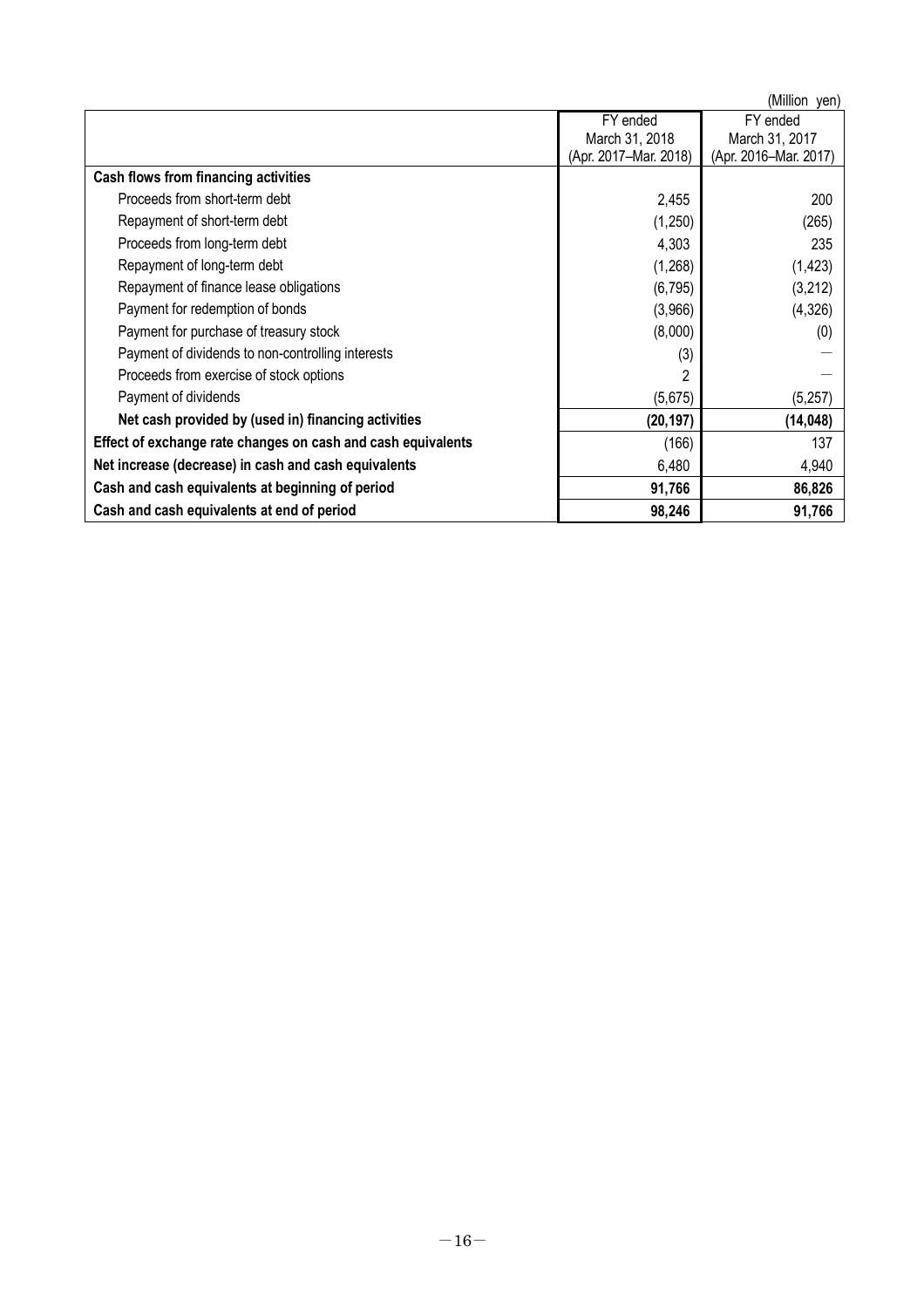|                                                              |                       | (Million yen)         |
|--------------------------------------------------------------|-----------------------|-----------------------|
|                                                              | FY ended              | FY ended              |
|                                                              | March 31, 2018        | March 31, 2017        |
|                                                              | (Apr. 2017-Mar. 2018) | (Apr. 2016-Mar. 2017) |
| Cash flows from financing activities                         |                       |                       |
| Proceeds from short-term debt                                | 2,455                 | 200                   |
| Repayment of short-term debt                                 | (1,250)               | (265)                 |
| Proceeds from long-term debt                                 | 4,303                 | 235                   |
| Repayment of long-term debt                                  | (1,268)               | (1, 423)              |
| Repayment of finance lease obligations                       | (6, 795)              | (3,212)               |
| Payment for redemption of bonds                              | (3,966)               | (4,326)               |
| Payment for purchase of treasury stock                       | (8,000)               | (0)                   |
| Payment of dividends to non-controlling interests            | (3)                   |                       |
| Proceeds from exercise of stock options                      | 2                     |                       |
| Payment of dividends                                         | (5,675)               | (5,257)               |
| Net cash provided by (used in) financing activities          | (20, 197)             | (14, 048)             |
| Effect of exchange rate changes on cash and cash equivalents | (166)                 | 137                   |
| Net increase (decrease) in cash and cash equivalents         | 6,480                 | 4,940                 |
| Cash and cash equivalents at beginning of period             | 91,766                | 86,826                |
| Cash and cash equivalents at end of period                   | 98,246                | 91,766                |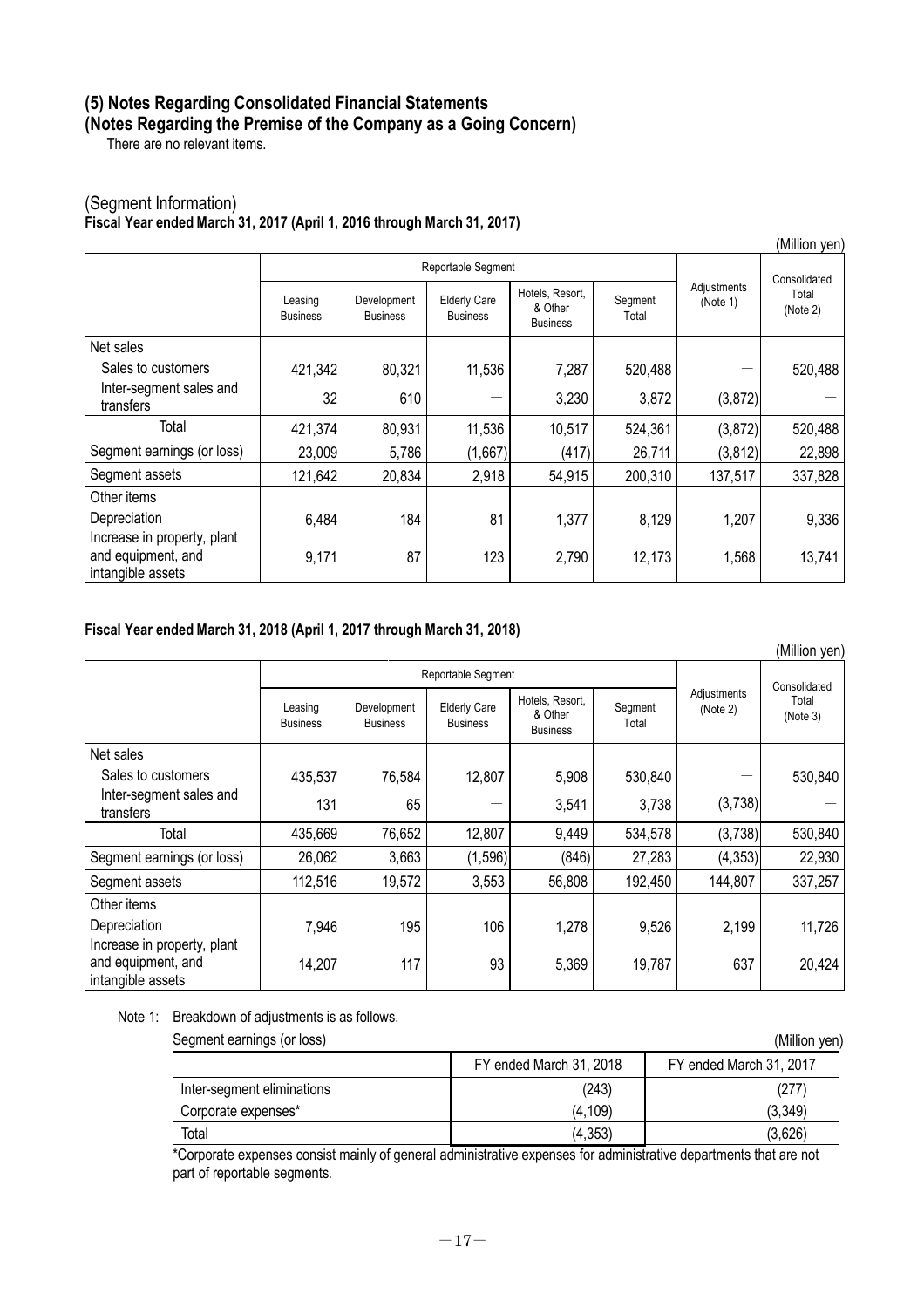# **(5) Notes Regarding Consolidated Financial Statements (Notes Regarding the Premise of the Company as a Going Concern)**

There are no relevant items.

## (Segment Information) **Fiscal Year ended March 31, 2017 (April 1, 2016 through March 31, 2017)**

| (Million yen)                                                          |                            |                                |                                        |                                               |                  |                         |                   |
|------------------------------------------------------------------------|----------------------------|--------------------------------|----------------------------------------|-----------------------------------------------|------------------|-------------------------|-------------------|
|                                                                        | Reportable Segment         |                                |                                        |                                               |                  | Consolidated            |                   |
|                                                                        | Leasing<br><b>Business</b> | Development<br><b>Business</b> | <b>Elderly Care</b><br><b>Business</b> | Hotels, Resort,<br>& Other<br><b>Business</b> | Segment<br>Total | Adjustments<br>(Note 1) | Total<br>(Note 2) |
| Net sales                                                              |                            |                                |                                        |                                               |                  |                         |                   |
| Sales to customers                                                     | 421,342                    | 80,321                         | 11,536                                 | 7,287                                         | 520,488          |                         | 520,488           |
| Inter-segment sales and<br>transfers                                   | 32                         | 610                            |                                        | 3,230                                         | 3,872            | (3, 872)                |                   |
| Total                                                                  | 421,374                    | 80,931                         | 11,536                                 | 10,517                                        | 524,361          | (3, 872)                | 520,488           |
| Segment earnings (or loss)                                             | 23,009                     | 5,786                          | (1,667)                                | (417)                                         | 26,711           | (3, 812)                | 22,898            |
| Segment assets                                                         | 121,642                    | 20,834                         | 2,918                                  | 54,915                                        | 200,310          | 137,517                 | 337,828           |
| Other items                                                            |                            |                                |                                        |                                               |                  |                         |                   |
| Depreciation                                                           | 6,484                      | 184                            | 81                                     | 1,377                                         | 8,129            | 1,207                   | 9,336             |
| Increase in property, plant<br>and equipment, and<br>intangible assets | 9,171                      | 87                             | 123                                    | 2,790                                         | 12,173           | 1,568                   | 13,741            |

### **Fiscal Year ended March 31, 2018 (April 1, 2017 through March 31, 2018)**

|                                                   |                            |                                |                                        |                                               | (Million yen)    |                         |                   |
|---------------------------------------------------|----------------------------|--------------------------------|----------------------------------------|-----------------------------------------------|------------------|-------------------------|-------------------|
|                                                   | Reportable Segment         |                                |                                        |                                               |                  | Consolidated            |                   |
|                                                   | Leasing<br><b>Business</b> | Development<br><b>Business</b> | <b>Elderly Care</b><br><b>Business</b> | Hotels, Resort,<br>& Other<br><b>Business</b> | Segment<br>Total | Adjustments<br>(Note 2) | Total<br>(Note 3) |
| Net sales                                         |                            |                                |                                        |                                               |                  |                         |                   |
| Sales to customers                                | 435,537                    | 76,584                         | 12,807                                 | 5,908                                         | 530,840          |                         | 530,840           |
| Inter-segment sales and<br>transfers              | 131                        | 65                             |                                        | 3,541                                         | 3,738            | (3,738)                 |                   |
| Total                                             | 435,669                    | 76,652                         | 12,807                                 | 9,449                                         | 534,578          | (3,738)                 | 530,840           |
| Segment earnings (or loss)                        | 26,062                     | 3,663                          | (1, 596)                               | (846)                                         | 27,283           | (4, 353)                | 22,930            |
| Segment assets                                    | 112,516                    | 19,572                         | 3,553                                  | 56,808                                        | 192,450          | 144,807                 | 337,257           |
| Other items                                       |                            |                                |                                        |                                               |                  |                         |                   |
| Depreciation                                      | 7,946                      | 195                            | 106                                    | 1,278                                         | 9,526            | 2,199                   | 11,726            |
| Increase in property, plant<br>and equipment, and | 14,207                     | 117                            | 93                                     | 5,369                                         | 19,787           | 637                     | 20,424            |
| intangible assets                                 |                            |                                |                                        |                                               |                  |                         |                   |

Note 1: Breakdown of adjustments is as follows.

Segment earnings (or loss) (Million yen)

| , , , , , , , , , , , , , , , , |                         |                         |  |  |  |
|---------------------------------|-------------------------|-------------------------|--|--|--|
|                                 | FY ended March 31, 2018 | FY ended March 31, 2017 |  |  |  |
| Inter-segment eliminations      | (243)                   | (277)                   |  |  |  |
| Corporate expenses*             | (4, 109)                | (3, 349)                |  |  |  |
| Total                           | (4, 353)                | (3,626)                 |  |  |  |

\*Corporate expenses consist mainly of general administrative expenses for administrative departments that are not part of reportable segments.